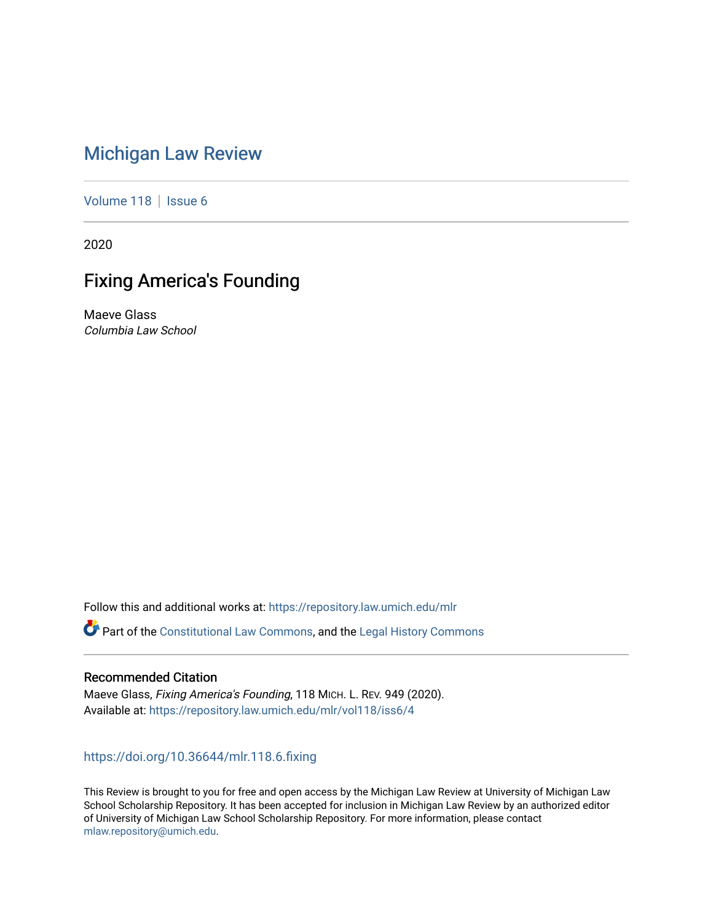# [Michigan Law Review](https://repository.law.umich.edu/mlr)

[Volume 118](https://repository.law.umich.edu/mlr/vol118) | [Issue 6](https://repository.law.umich.edu/mlr/vol118/iss6)

2020

# Fixing America's Founding

Maeve Glass Columbia Law School

Follow this and additional works at: [https://repository.law.umich.edu/mlr](https://repository.law.umich.edu/mlr?utm_source=repository.law.umich.edu%2Fmlr%2Fvol118%2Fiss6%2F4&utm_medium=PDF&utm_campaign=PDFCoverPages) 

Part of the [Constitutional Law Commons,](http://network.bepress.com/hgg/discipline/589?utm_source=repository.law.umich.edu%2Fmlr%2Fvol118%2Fiss6%2F4&utm_medium=PDF&utm_campaign=PDFCoverPages) and the Legal History Commons

## Recommended Citation

Maeve Glass, Fixing America's Founding, 118 MICH. L. REV. 949 (2020). Available at: [https://repository.law.umich.edu/mlr/vol118/iss6/4](https://repository.law.umich.edu/mlr/vol118/iss6/4?utm_source=repository.law.umich.edu%2Fmlr%2Fvol118%2Fiss6%2F4&utm_medium=PDF&utm_campaign=PDFCoverPages) 

# <https://doi.org/10.36644/mlr.118.6.fixing>

This Review is brought to you for free and open access by the Michigan Law Review at University of Michigan Law School Scholarship Repository. It has been accepted for inclusion in Michigan Law Review by an authorized editor of University of Michigan Law School Scholarship Repository. For more information, please contact [mlaw.repository@umich.edu.](mailto:mlaw.repository@umich.edu)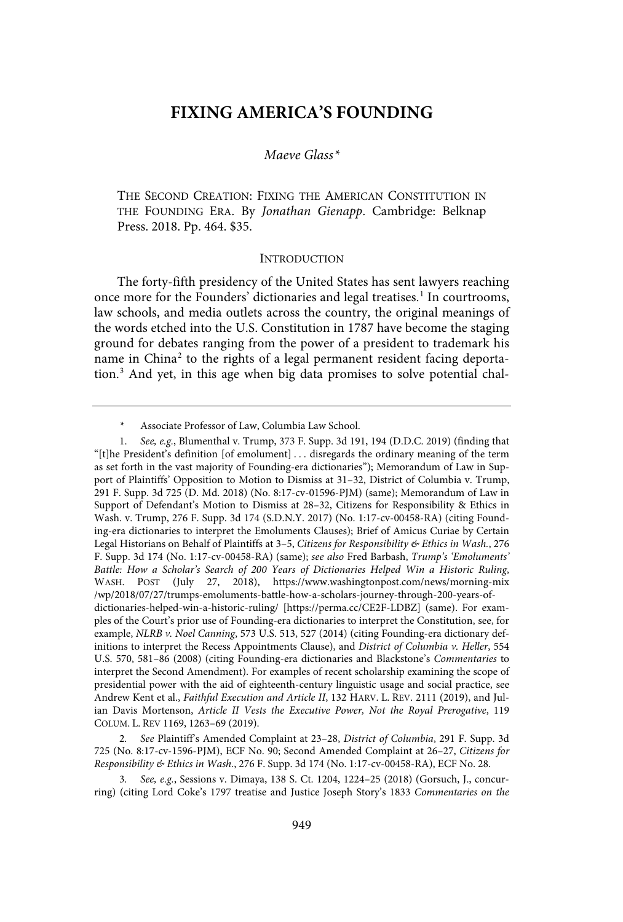# **FIXING AMERICA'S FOUNDING**

### Maeve Glass\*

THE SECOND CREATION: FIXING THE AMERICAN CONSTITUTION IN THE FOUNDING ERA. By Jonathan Gienapp. Cambridge: Belknap Press. 2018. Pp. 464. \$35.

#### INTRODUCTION

The forty-fifth presidency of the United States has sent lawyers reaching once more for the Founders' dictionaries and legal treatises.<sup>1</sup> In courtrooms, law schools, and media outlets across the country, the original meanings of the words etched into the U.S. Constitution in 1787 have become the staging ground for debates ranging from the power of a president to trademark his name in China<sup>2</sup> to the rights of a legal permanent resident facing deportation. <sup>3</sup> And yet, in this age when big data promises to solve potential chal-

2. See Plaintiff's Amended Complaint at 23–28, District of Columbia, 291 F. Supp. 3d 725 (No. 8:17-cv-1596-PJM), ECF No. 90; Second Amended Complaint at 26–27, Citizens for Responsibility & Ethics in Wash., 276 F. Supp. 3d 174 (No. 1:17-cv-00458-RA), ECF No. 28.

3. See, e.g., Sessions v. Dimaya, 138 S. Ct. 1204, 1224–25 (2018) (Gorsuch, J., concurring) (citing Lord Coke's 1797 treatise and Justice Joseph Story's 1833 Commentaries on the

Associate Professor of Law, Columbia Law School.

<sup>1.</sup> See, e.g., Blumenthal v. Trump, 373 F. Supp. 3d 191, 194 (D.D.C. 2019) (finding that "[t]he President's definition [of emolument] . . . disregards the ordinary meaning of the term as set forth in the vast majority of Founding-era dictionaries"); Memorandum of Law in Support of Plaintiffs' Opposition to Motion to Dismiss at 31–32, District of Columbia v. Trump, 291 F. Supp. 3d 725 (D. Md. 2018) (No. 8:17-cv-01596-PJM) (same); Memorandum of Law in Support of Defendant's Motion to Dismiss at 28–32, Citizens for Responsibility & Ethics in Wash. v. Trump, 276 F. Supp. 3d 174 (S.D.N.Y. 2017) (No. 1:17-cv-00458-RA) (citing Founding-era dictionaries to interpret the Emoluments Clauses); Brief of Amicus Curiae by Certain Legal Historians on Behalf of Plaintiffs at 3-5, Citizens for Responsibility & Ethics in Wash., 276 F. Supp. 3d 174 (No. 1:17-cv-00458-RA) (same); see also Fred Barbash, Trump's 'Emoluments' Battle: How a Scholar's Search of 200 Years of Dictionaries Helped Win a Historic Ruling, WASH. POST (July 27, 2018), https://www.washingtonpost.com/news/morning-mix /wp/2018/07/27/trumps-emoluments-battle-how-a-scholars-journey-through-200-years-ofdictionaries-helped-win-a-historic-ruling/ [https://perma.cc/CE2F-LDBZ] (same). For examples of the Court's prior use of Founding-era dictionaries to interpret the Constitution, see, for example, NLRB v. Noel Canning, 573 U.S. 513, 527 (2014) (citing Founding-era dictionary definitions to interpret the Recess Appointments Clause), and District of Columbia v. Heller, 554 U.S. 570, 581–86 (2008) (citing Founding-era dictionaries and Blackstone's Commentaries to interpret the Second Amendment). For examples of recent scholarship examining the scope of presidential power with the aid of eighteenth-century linguistic usage and social practice, see Andrew Kent et al., Faithful Execution and Article II, 132 HARV. L. REV. 2111 (2019), and Julian Davis Mortenson, Article II Vests the Executive Power, Not the Royal Prerogative, 119 COLUM. L. REV 1169, 1263–69 (2019).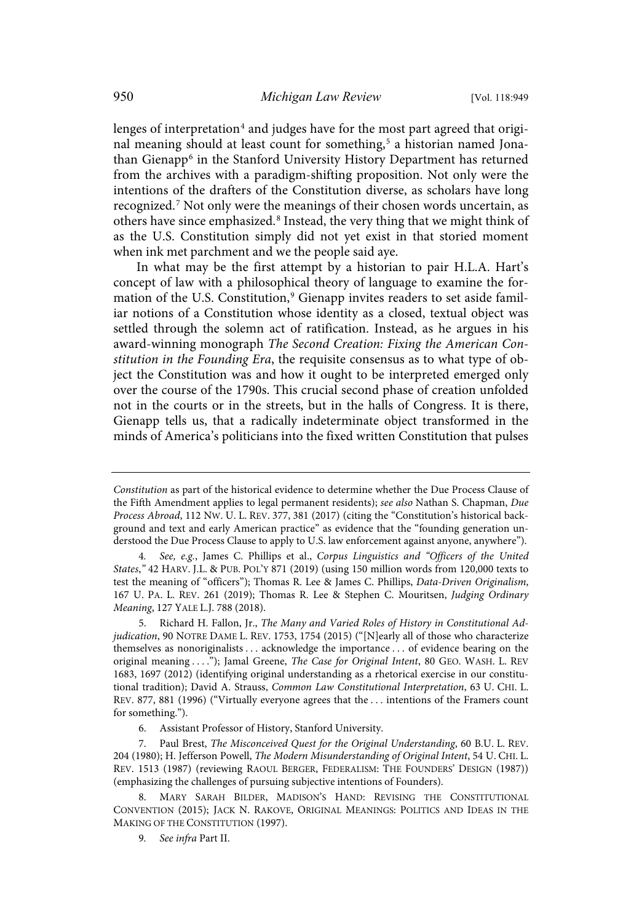lenges of interpretation 4 and judges have for the most part agreed that original meaning should at least count for something, 5 a historian named Jonathan Gienapp<sup>6</sup> in the Stanford University History Department has returned from the archives with a paradigm-shifting proposition. Not only were the intentions of the drafters of the Constitution diverse, as scholars have long recognized.<sup>7</sup> Not only were the meanings of their chosen words uncertain, as others have since emphasized.<sup>8</sup> Instead, the very thing that we might think of as the U.S. Constitution simply did not yet exist in that storied moment when ink met parchment and we the people said aye.

In what may be the first attempt by a historian to pair H.L.A. Hart's concept of law with a philosophical theory of language to examine the formation of the U.S. Constitution, <sup>9</sup> Gienapp invites readers to set aside familiar notions of a Constitution whose identity as a closed, textual object was settled through the solemn act of ratification. Instead, as he argues in his award-winning monograph The Second Creation: Fixing the American Constitution in the Founding Era, the requisite consensus as to what type of object the Constitution was and how it ought to be interpreted emerged only over the course of the 1790s. This crucial second phase of creation unfolded not in the courts or in the streets, but in the halls of Congress. It is there, Gienapp tells us, that a radically indeterminate object transformed in the minds of America's politicians into the fixed written Constitution that pulses

Constitution as part of the historical evidence to determine whether the Due Process Clause of the Fifth Amendment applies to legal permanent residents); see also Nathan S. Chapman, Due Process Abroad, 112 NW. U. L. REV. 377, 381 (2017) (citing the "Constitution's historical background and text and early American practice" as evidence that the "founding generation understood the Due Process Clause to apply to U.S. law enforcement against anyone, anywhere").

<sup>4</sup>. See, e.g., James C. Phillips et al., Corpus Linguistics and "Officers of the United States," 42 HARV. J.L. & PUB. POL'Y 871 (2019) (using 150 million words from 120,000 texts to test the meaning of "officers"); Thomas R. Lee & James C. Phillips, Data-Driven Originalism, 167 U. PA. L. REV. 261 (2019); Thomas R. Lee & Stephen C. Mouritsen, Judging Ordinary Meaning, 127 YALE L.J. 788 (2018).

<sup>5.</sup> Richard H. Fallon, Jr., The Many and Varied Roles of History in Constitutional Adjudication, 90 NOTRE DAME L. REV. 1753, 1754 (2015) ("[N]early all of those who characterize themselves as nonoriginalists . . . acknowledge the importance . . . of evidence bearing on the original meaning ...."); Jamal Greene, The Case for Original Intent, 80 GEO. WASH. L. REV 1683, 1697 (2012) (identifying original understanding as a rhetorical exercise in our constitutional tradition); David A. Strauss, Common Law Constitutional Interpretation, 63 U. CHI. L. REV. 877, 881 (1996) ("Virtually everyone agrees that the . . . intentions of the Framers count for something.").

<sup>6.</sup> Assistant Professor of History, Stanford University.

<sup>7.</sup> Paul Brest, The Misconceived Quest for the Original Understanding, 60 B.U. L. REV. 204 (1980); H. Jefferson Powell, The Modern Misunderstanding of Original Intent, 54 U. CHI. L. REV. 1513 (1987) (reviewing RAOUL BERGER, FEDERALISM: THE FOUNDERS' DESIGN (1987)) (emphasizing the challenges of pursuing subjective intentions of Founders).

<sup>8.</sup> MARY SARAH BILDER, MADISON'S HAND: REVISING THE CONSTITUTIONAL CONVENTION (2015); JACK N. RAKOVE, ORIGINAL MEANINGS: POLITICS AND IDEAS IN THE MAKING OF THE CONSTITUTION (1997).

<sup>9</sup>. See infra Part II.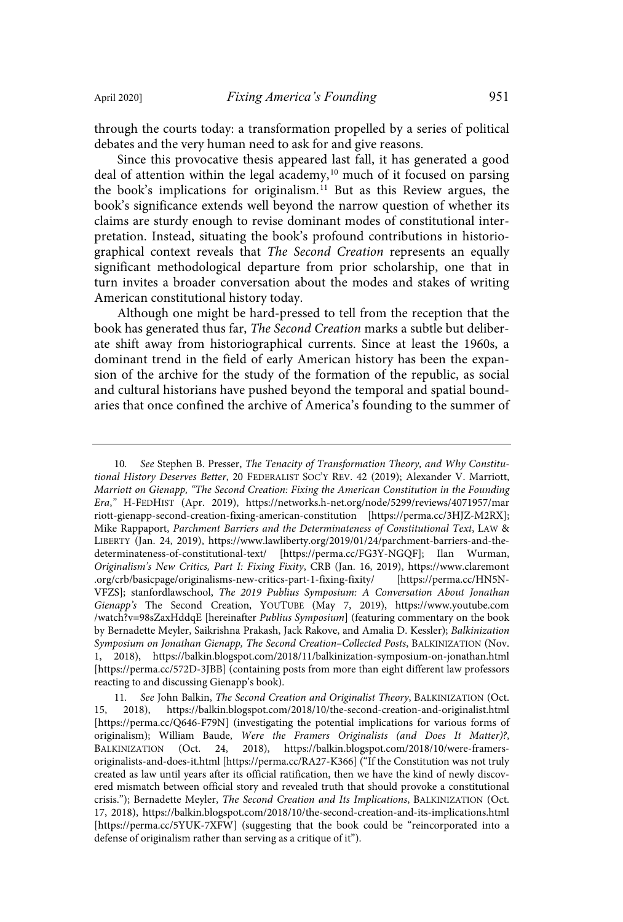through the courts today: a transformation propelled by a series of political debates and the very human need to ask for and give reasons.

Since this provocative thesis appeared last fall, it has generated a good deal of attention within the legal academy, <sup>10</sup> much of it focused on parsing the book's implications for originalism.<sup>11</sup> But as this Review argues, the book's significance extends well beyond the narrow question of whether its claims are sturdy enough to revise dominant modes of constitutional interpretation. Instead, situating the book's profound contributions in historiographical context reveals that The Second Creation represents an equally significant methodological departure from prior scholarship, one that in turn invites a broader conversation about the modes and stakes of writing American constitutional history today.

Although one might be hard-pressed to tell from the reception that the book has generated thus far, The Second Creation marks a subtle but deliberate shift away from historiographical currents. Since at least the 1960s, a dominant trend in the field of early American history has been the expansion of the archive for the study of the formation of the republic, as social and cultural historians have pushed beyond the temporal and spatial boundaries that once confined the archive of America's founding to the summer of

<sup>10</sup>. See Stephen B. Presser, The Tenacity of Transformation Theory, and Why Constitutional History Deserves Better, 20 FEDERALIST SOC'Y REV. 42 (2019); Alexander V. Marriott, Marriott on Gienapp, "The Second Creation: Fixing the American Constitution in the Founding Era," H-FEDHIST (Apr. 2019), https://networks.h-net.org/node/5299/reviews/4071957/mar riott-gienapp-second-creation-fixing-american-constitution [https://perma.cc/3HJZ-M2RX]; Mike Rappaport, Parchment Barriers and the Determinateness of Constitutional Text, LAW & LIBERTY (Jan. 24, 2019), https://www.lawliberty.org/2019/01/24/parchment-barriers-and-thedeterminateness-of-constitutional-text/ [https://perma.cc/FG3Y-NGQF]; Ilan Wurman, Originalism's New Critics, Part I: Fixing Fixity, CRB (Jan. 16, 2019), https://www.claremont .org/crb/basicpage/originalisms-new-critics-part-1-fixing-fixity/ [https://perma.cc/HN5N-VFZS]; stanfordlawschool, The 2019 Publius Symposium: A Conversation About Jonathan Gienapp's The Second Creation, YOUTUBE (May 7, 2019), https://www.youtube.com /watch?v=98sZaxHddqE [hereinafter Publius Symposium] (featuring commentary on the book by Bernadette Meyler, Saikrishna Prakash, Jack Rakove, and Amalia D. Kessler); Balkinization Symposium on Jonathan Gienapp, The Second Creation–Collected Posts, BALKINIZATION (Nov. 1, 2018), https://balkin.blogspot.com/2018/11/balkinization-symposium-on-jonathan.html [https://perma.cc/572D-3JBB] (containing posts from more than eight different law professors reacting to and discussing Gienapp's book).

See John Balkin, The Second Creation and Originalist Theory, BALKINIZATION (Oct. 15, 2018), https://balkin.blogspot.com/2018/10/the-second-creation-and-originalist.html [https://perma.cc/Q646-F79N] (investigating the potential implications for various forms of originalism); William Baude, Were the Framers Originalists (and Does It Matter)?, BALKINIZATION (Oct. 24, 2018), https://balkin.blogspot.com/2018/10/were-framersoriginalists-and-does-it.html [https://perma.cc/RA27-K366] ("If the Constitution was not truly created as law until years after its official ratification, then we have the kind of newly discovered mismatch between official story and revealed truth that should provoke a constitutional crisis."); Bernadette Meyler, The Second Creation and Its Implications, BALKINIZATION (Oct. 17, 2018), https://balkin.blogspot.com/2018/10/the-second-creation-and-its-implications.html [https://perma.cc/5YUK-7XFW] (suggesting that the book could be "reincorporated into a defense of originalism rather than serving as a critique of it").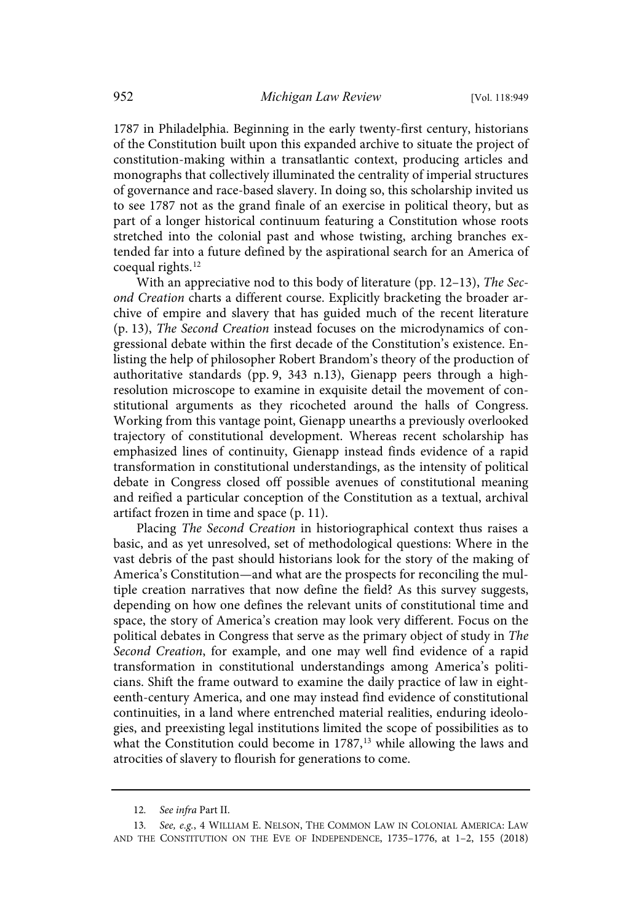1787 in Philadelphia. Beginning in the early twenty-first century, historians of the Constitution built upon this expanded archive to situate the project of constitution-making within a transatlantic context, producing articles and monographs that collectively illuminated the centrality of imperial structures of governance and race-based slavery. In doing so, this scholarship invited us to see 1787 not as the grand finale of an exercise in political theory, but as part of a longer historical continuum featuring a Constitution whose roots stretched into the colonial past and whose twisting, arching branches extended far into a future defined by the aspirational search for an America of coequal rights.<sup>12</sup>

With an appreciative nod to this body of literature (pp. 12–13), The Second Creation charts a different course. Explicitly bracketing the broader archive of empire and slavery that has guided much of the recent literature (p. 13), The Second Creation instead focuses on the microdynamics of congressional debate within the first decade of the Constitution's existence. Enlisting the help of philosopher Robert Brandom's theory of the production of authoritative standards (pp. 9, 343 n.13), Gienapp peers through a highresolution microscope to examine in exquisite detail the movement of constitutional arguments as they ricocheted around the halls of Congress. Working from this vantage point, Gienapp unearths a previously overlooked trajectory of constitutional development. Whereas recent scholarship has emphasized lines of continuity, Gienapp instead finds evidence of a rapid transformation in constitutional understandings, as the intensity of political debate in Congress closed off possible avenues of constitutional meaning and reified a particular conception of the Constitution as a textual, archival artifact frozen in time and space (p. 11).

Placing The Second Creation in historiographical context thus raises a basic, and as yet unresolved, set of methodological questions: Where in the vast debris of the past should historians look for the story of the making of America's Constitution—and what are the prospects for reconciling the multiple creation narratives that now define the field? As this survey suggests, depending on how one defines the relevant units of constitutional time and space, the story of America's creation may look very different. Focus on the political debates in Congress that serve as the primary object of study in The Second Creation, for example, and one may well find evidence of a rapid transformation in constitutional understandings among America's politicians. Shift the frame outward to examine the daily practice of law in eighteenth-century America, and one may instead find evidence of constitutional continuities, in a land where entrenched material realities, enduring ideologies, and preexisting legal institutions limited the scope of possibilities as to what the Constitution could become in 1787,<sup>13</sup> while allowing the laws and atrocities of slavery to flourish for generations to come.

<sup>12</sup>. See infra Part II.

<sup>13</sup>. See, e.g., 4 WILLIAM E. NELSON, THE COMMON LAW IN COLONIAL AMERICA: LAW AND THE CONSTITUTION ON THE EVE OF INDEPENDENCE, 1735–1776, at 1–2, 155 (2018)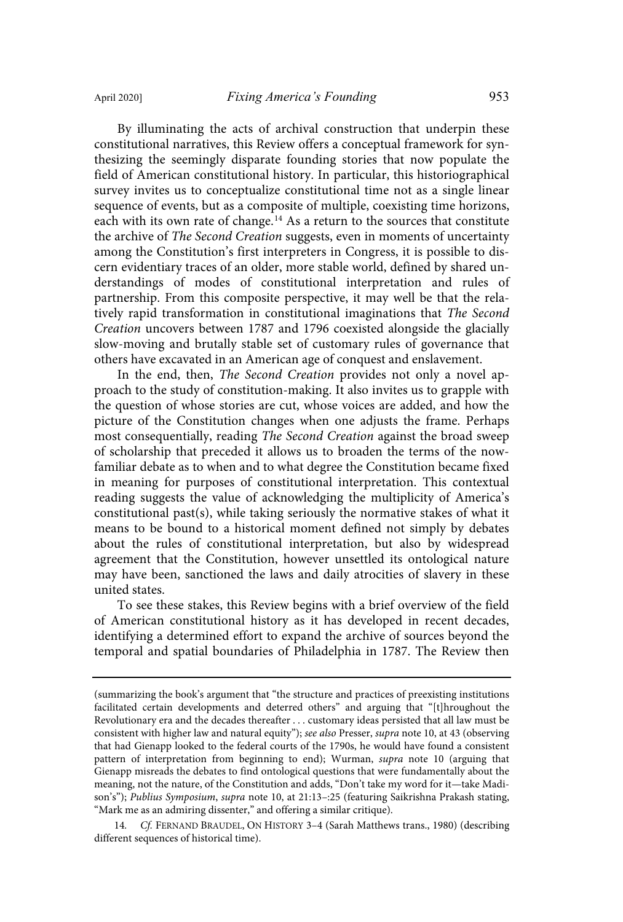By illuminating the acts of archival construction that underpin these constitutional narratives, this Review offers a conceptual framework for synthesizing the seemingly disparate founding stories that now populate the field of American constitutional history. In particular, this historiographical survey invites us to conceptualize constitutional time not as a single linear sequence of events, but as a composite of multiple, coexisting time horizons, each with its own rate of change. <sup>14</sup> As a return to the sources that constitute the archive of The Second Creation suggests, even in moments of uncertainty among the Constitution's first interpreters in Congress, it is possible to discern evidentiary traces of an older, more stable world, defined by shared understandings of modes of constitutional interpretation and rules of partnership. From this composite perspective, it may well be that the relatively rapid transformation in constitutional imaginations that The Second Creation uncovers between 1787 and 1796 coexisted alongside the glacially slow-moving and brutally stable set of customary rules of governance that others have excavated in an American age of conquest and enslavement.

In the end, then, The Second Creation provides not only a novel approach to the study of constitution-making. It also invites us to grapple with the question of whose stories are cut, whose voices are added, and how the picture of the Constitution changes when one adjusts the frame. Perhaps most consequentially, reading The Second Creation against the broad sweep of scholarship that preceded it allows us to broaden the terms of the nowfamiliar debate as to when and to what degree the Constitution became fixed in meaning for purposes of constitutional interpretation. This contextual reading suggests the value of acknowledging the multiplicity of America's constitutional past(s), while taking seriously the normative stakes of what it means to be bound to a historical moment defined not simply by debates about the rules of constitutional interpretation, but also by widespread agreement that the Constitution, however unsettled its ontological nature may have been, sanctioned the laws and daily atrocities of slavery in these united states.

To see these stakes, this Review begins with a brief overview of the field of American constitutional history as it has developed in recent decades, identifying a determined effort to expand the archive of sources beyond the temporal and spatial boundaries of Philadelphia in 1787. The Review then

<sup>(</sup>summarizing the book's argument that "the structure and practices of preexisting institutions facilitated certain developments and deterred others" and arguing that "[t]hroughout the Revolutionary era and the decades thereafter . . . customary ideas persisted that all law must be consistent with higher law and natural equity"); see also Presser, supra note 10, at 43 (observing that had Gienapp looked to the federal courts of the 1790s, he would have found a consistent pattern of interpretation from beginning to end); Wurman, supra note 10 (arguing that Gienapp misreads the debates to find ontological questions that were fundamentally about the meaning, not the nature, of the Constitution and adds, "Don't take my word for it—take Madison's"); Publius Symposium, supra note 10, at 21:13-:25 (featuring Saikrishna Prakash stating, "Mark me as an admiring dissenter," and offering a similar critique).

<sup>14</sup>. Cf. FERNAND BRAUDEL, ON HISTORY 3–4 (Sarah Matthews trans., 1980) (describing different sequences of historical time).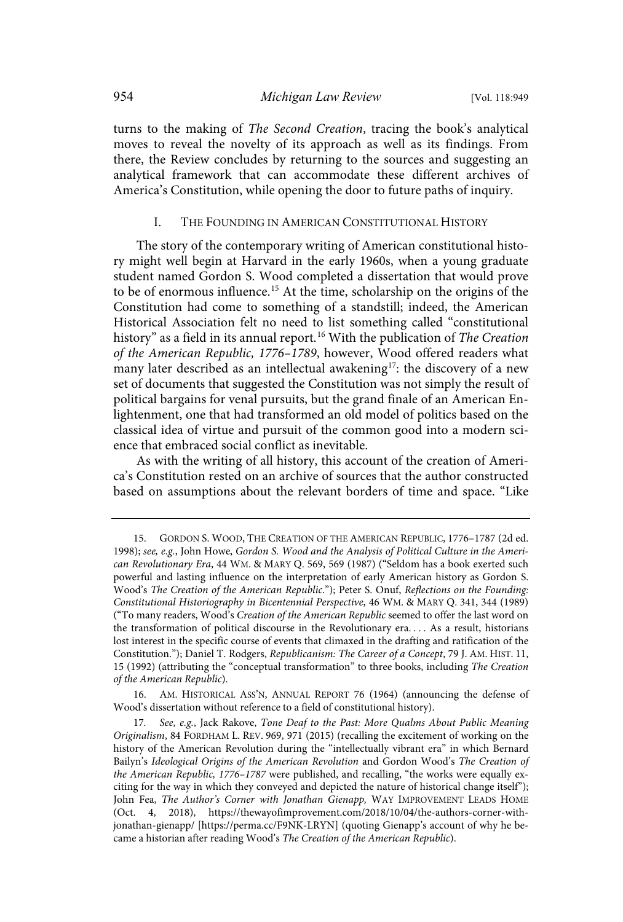turns to the making of The Second Creation, tracing the book's analytical moves to reveal the novelty of its approach as well as its findings. From there, the Review concludes by returning to the sources and suggesting an analytical framework that can accommodate these different archives of America's Constitution, while opening the door to future paths of inquiry.

## I. THE FOUNDING IN AMERICAN CONSTITUTIONAL HISTORY

The story of the contemporary writing of American constitutional history might well begin at Harvard in the early 1960s, when a young graduate student named Gordon S. Wood completed a dissertation that would prove to be of enormous influence. <sup>15</sup> At the time, scholarship on the origins of the Constitution had come to something of a standstill; indeed, the American Historical Association felt no need to list something called "constitutional history" as a field in its annual report.<sup>16</sup> With the publication of *The Creation* of the American Republic, 1776–1789, however, Wood offered readers what many later described as an intellectual awakening<sup>17</sup>: the discovery of a new set of documents that suggested the Constitution was not simply the result of political bargains for venal pursuits, but the grand finale of an American Enlightenment, one that had transformed an old model of politics based on the classical idea of virtue and pursuit of the common good into a modern science that embraced social conflict as inevitable.

As with the writing of all history, this account of the creation of America's Constitution rested on an archive of sources that the author constructed based on assumptions about the relevant borders of time and space. "Like

16. AM. HISTORICAL ASS'N, ANNUAL REPORT 76 (1964) (announcing the defense of Wood's dissertation without reference to a field of constitutional history).

<sup>15.</sup> GORDON S. WOOD, THE CREATION OF THE AMERICAN REPUBLIC, 1776–1787 (2d ed. 1998); see, e.g., John Howe, Gordon S. Wood and the Analysis of Political Culture in the American Revolutionary Era, 44 WM. & MARY Q. 569, 569 (1987) ("Seldom has a book exerted such powerful and lasting influence on the interpretation of early American history as Gordon S. Wood's The Creation of the American Republic."); Peter S. Onuf, Reflections on the Founding: Constitutional Historiography in Bicentennial Perspective, 46 WM. & MARY Q. 341, 344 (1989) ("To many readers, Wood's Creation of the American Republic seemed to offer the last word on the transformation of political discourse in the Revolutionary era. . . . As a result, historians lost interest in the specific course of events that climaxed in the drafting and ratification of the Constitution."); Daniel T. Rodgers, Republicanism: The Career of a Concept, 79 J. AM. HIST. 11, 15 (1992) (attributing the "conceptual transformation" to three books, including The Creation of the American Republic).

See, e.g., Jack Rakove, Tone Deaf to the Past: More Qualms About Public Meaning Originalism, 84 FORDHAM L. REV. 969, 971 (2015) (recalling the excitement of working on the history of the American Revolution during the "intellectually vibrant era" in which Bernard Bailyn's Ideological Origins of the American Revolution and Gordon Wood's The Creation of the American Republic, 1776–1787 were published, and recalling, "the works were equally exciting for the way in which they conveyed and depicted the nature of historical change itself"); John Fea, The Author's Corner with Jonathan Gienapp, WAY IMPROVEMENT LEADS HOME (Oct. 4, 2018), https://thewayofimprovement.com/2018/10/04/the-authors-corner-withjonathan-gienapp/ [https://perma.cc/F9NK-LRYN] (quoting Gienapp's account of why he became a historian after reading Wood's The Creation of the American Republic).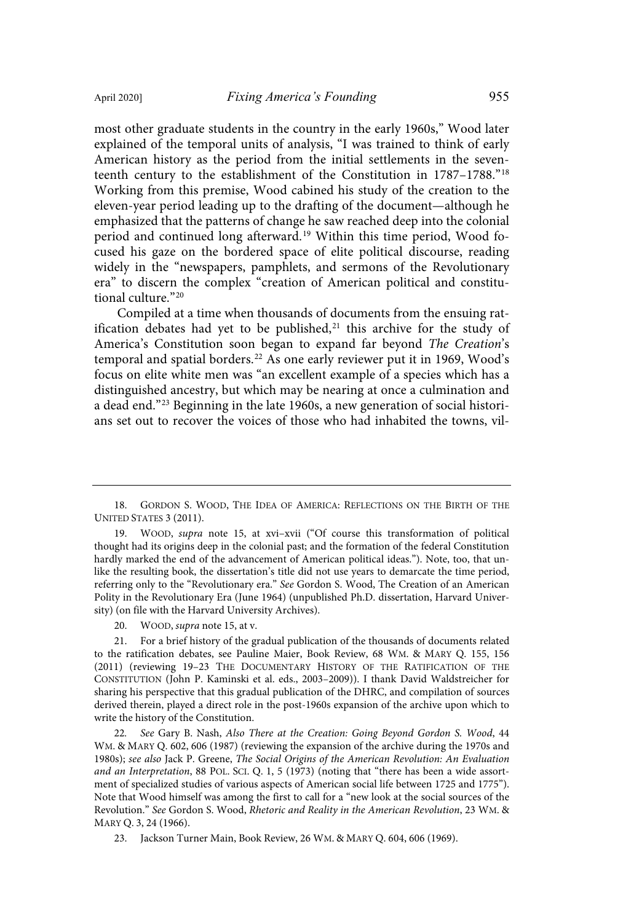most other graduate students in the country in the early 1960s," Wood later explained of the temporal units of analysis, "I was trained to think of early American history as the period from the initial settlements in the seventeenth century to the establishment of the Constitution in 1787–1788."<sup>18</sup> Working from this premise, Wood cabined his study of the creation to the eleven-year period leading up to the drafting of the document—although he emphasized that the patterns of change he saw reached deep into the colonial period and continued long afterward. <sup>19</sup> Within this time period, Wood focused his gaze on the bordered space of elite political discourse, reading widely in the "newspapers, pamphlets, and sermons of the Revolutionary era" to discern the complex "creation of American political and constitutional culture."<sup>20</sup>

Compiled at a time when thousands of documents from the ensuing ratification debates had yet to be published, $21$  this archive for the study of America's Constitution soon began to expand far beyond The Creation's temporal and spatial borders.<sup>22</sup> As one early reviewer put it in 1969, Wood's focus on elite white men was "an excellent example of a species which has a distinguished ancestry, but which may be nearing at once a culmination and a dead end." <sup>23</sup> Beginning in the late 1960s, a new generation of social historians set out to recover the voices of those who had inhabited the towns, vil-

20. WOOD, supra note 15, at v.

21. For a brief history of the gradual publication of the thousands of documents related to the ratification debates, see Pauline Maier, Book Review, 68 WM. & MARY Q. 155, 156 (2011) (reviewing 19–23 THE DOCUMENTARY HISTORY OF THE RATIFICATION OF THE CONSTITUTION (John P. Kaminski et al. eds., 2003–2009)). I thank David Waldstreicher for sharing his perspective that this gradual publication of the DHRC, and compilation of sources derived therein, played a direct role in the post-1960s expansion of the archive upon which to write the history of the Constitution.

22. See Gary B. Nash, Also There at the Creation: Going Beyond Gordon S. Wood, 44 WM. & MARY Q. 602, 606 (1987) (reviewing the expansion of the archive during the 1970s and 1980s); see also Jack P. Greene, The Social Origins of the American Revolution: An Evaluation and an Interpretation, 88 POL. SCI. Q. 1, 5 (1973) (noting that "there has been a wide assortment of specialized studies of various aspects of American social life between 1725 and 1775"). Note that Wood himself was among the first to call for a "new look at the social sources of the Revolution." See Gordon S. Wood, Rhetoric and Reality in the American Revolution, 23 WM. & MARY Q. 3, 24 (1966).

23. Jackson Turner Main, Book Review, 26 WM. & MARY Q. 604, 606 (1969).

<sup>18.</sup> GORDON S. WOOD, THE IDEA OF AMERICA: REFLECTIONS ON THE BIRTH OF THE UNITED STATES 3 (2011).

<sup>19.</sup> WOOD, supra note 15, at xvi–xvii ("Of course this transformation of political thought had its origins deep in the colonial past; and the formation of the federal Constitution hardly marked the end of the advancement of American political ideas."). Note, too, that unlike the resulting book, the dissertation's title did not use years to demarcate the time period, referring only to the "Revolutionary era." See Gordon S. Wood, The Creation of an American Polity in the Revolutionary Era (June 1964) (unpublished Ph.D. dissertation, Harvard University) (on file with the Harvard University Archives).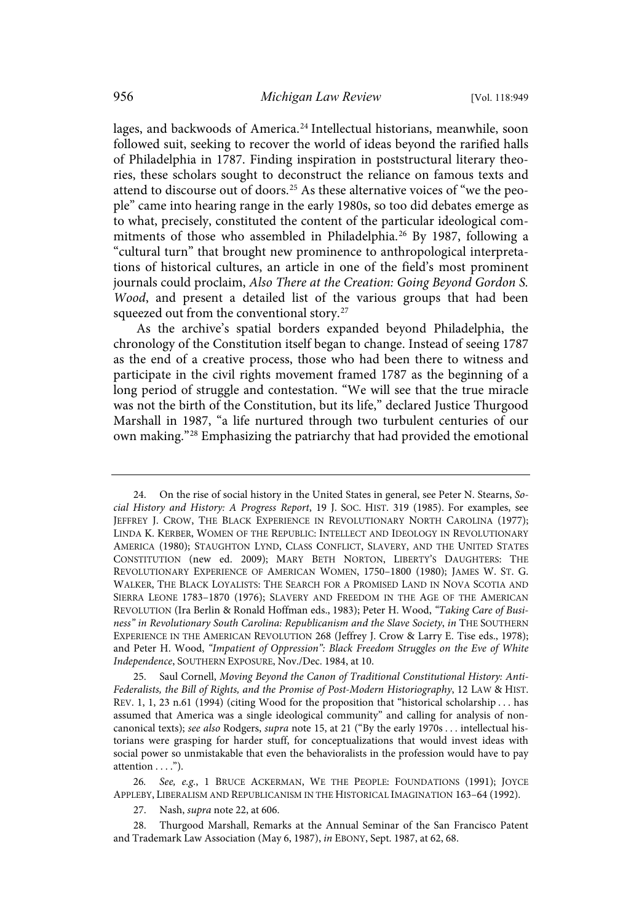lages, and backwoods of America.<sup>24</sup> Intellectual historians, meanwhile, soon followed suit, seeking to recover the world of ideas beyond the rarified halls of Philadelphia in 1787. Finding inspiration in poststructural literary theories, these scholars sought to deconstruct the reliance on famous texts and attend to discourse out of doors.<sup>25</sup> As these alternative voices of "we the people" came into hearing range in the early 1980s, so too did debates emerge as to what, precisely, constituted the content of the particular ideological commitments of those who assembled in Philadelphia.<sup>26</sup> By 1987, following a "cultural turn" that brought new prominence to anthropological interpretations of historical cultures, an article in one of the field's most prominent journals could proclaim, Also There at the Creation: Going Beyond Gordon S. Wood, and present a detailed list of the various groups that had been squeezed out from the conventional story.<sup>27</sup>

As the archive's spatial borders expanded beyond Philadelphia, the chronology of the Constitution itself began to change. Instead of seeing 1787 as the end of a creative process, those who had been there to witness and participate in the civil rights movement framed 1787 as the beginning of a long period of struggle and contestation. "We will see that the true miracle was not the birth of the Constitution, but its life," declared Justice Thurgood Marshall in 1987, "a life nurtured through two turbulent centuries of our own making."<sup>28</sup> Emphasizing the patriarchy that had provided the emotional

<sup>24.</sup> On the rise of social history in the United States in general, see Peter N. Stearns, Social History and History: A Progress Report, 19 J. SOC. HIST. 319 (1985). For examples, see JEFFREY J. CROW, THE BLACK EXPERIENCE IN REVOLUTIONARY NORTH CAROLINA (1977); LINDA K. KERBER, WOMEN OF THE REPUBLIC: INTELLECT AND IDEOLOGY IN REVOLUTIONARY AMERICA (1980); STAUGHTON LYND, CLASS CONFLICT, SLAVERY, AND THE UNITED STATES CONSTITUTION (new ed. 2009); MARY BETH NORTON, LIBERTY'S DAUGHTERS: THE REVOLUTIONARY EXPERIENCE OF AMERICAN WOMEN, 1750–1800 (1980); JAMES W. ST. G. WALKER, THE BLACK LOYALISTS: THE SEARCH FOR A PROMISED LAND IN NOVA SCOTIA AND SIERRA LEONE 1783–1870 (1976); SLAVERY AND FREEDOM IN THE AGE OF THE AMERICAN REVOLUTION (Ira Berlin & Ronald Hoffman eds., 1983); Peter H. Wood, "Taking Care of Business" in Revolutionary South Carolina: Republicanism and the Slave Society, in THE SOUTHERN EXPERIENCE IN THE AMERICAN REVOLUTION 268 (Jeffrey J. Crow & Larry E. Tise eds., 1978); and Peter H. Wood, "Impatient of Oppression": Black Freedom Struggles on the Eve of White Independence, SOUTHERN EXPOSURE, Nov./Dec. 1984, at 10.

<sup>25.</sup> Saul Cornell, Moving Beyond the Canon of Traditional Constitutional History: Anti-Federalists, the Bill of Rights, and the Promise of Post-Modern Historiography, 12 LAW & HIST. REV. 1, 1, 23 n.61 (1994) (citing Wood for the proposition that "historical scholarship . . . has assumed that America was a single ideological community" and calling for analysis of noncanonical texts); see also Rodgers, supra note 15, at 21 ("By the early 1970s . . . intellectual historians were grasping for harder stuff, for conceptualizations that would invest ideas with social power so unmistakable that even the behavioralists in the profession would have to pay attention . . . .").

<sup>26</sup>. See, e.g., 1 BRUCE ACKERMAN, WE THE PEOPLE: FOUNDATIONS (1991); JOYCE APPLEBY, LIBERALISM AND REPUBLICANISM IN THE HISTORICAL IMAGINATION 163–64 (1992).

<sup>27.</sup> Nash, supra note 22, at 606.

<sup>28.</sup> Thurgood Marshall, Remarks at the Annual Seminar of the San Francisco Patent and Trademark Law Association (May 6, 1987), in EBONY, Sept. 1987, at 62, 68.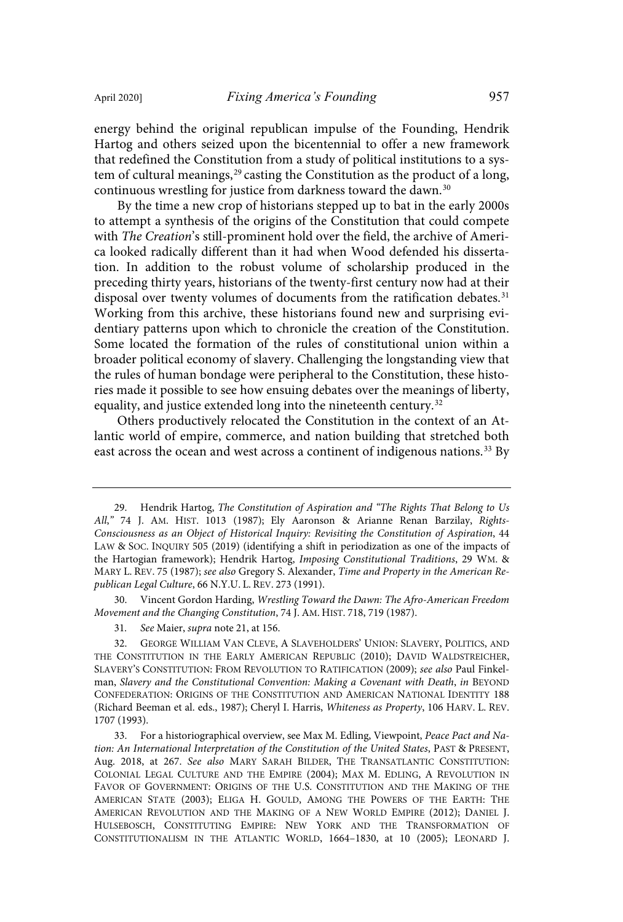energy behind the original republican impulse of the Founding, Hendrik Hartog and others seized upon the bicentennial to offer a new framework that redefined the Constitution from a study of political institutions to a system of cultural meanings,<sup>29</sup> casting the Constitution as the product of a long, continuous wrestling for justice from darkness toward the dawn.<sup>30</sup>

By the time a new crop of historians stepped up to bat in the early 2000s to attempt a synthesis of the origins of the Constitution that could compete with The Creation's still-prominent hold over the field, the archive of America looked radically different than it had when Wood defended his dissertation. In addition to the robust volume of scholarship produced in the preceding thirty years, historians of the twenty-first century now had at their disposal over twenty volumes of documents from the ratification debates.<sup>31</sup> Working from this archive, these historians found new and surprising evidentiary patterns upon which to chronicle the creation of the Constitution. Some located the formation of the rules of constitutional union within a broader political economy of slavery. Challenging the longstanding view that the rules of human bondage were peripheral to the Constitution, these histories made it possible to see how ensuing debates over the meanings of liberty, equality, and justice extended long into the nineteenth century.<sup>32</sup>

Others productively relocated the Constitution in the context of an Atlantic world of empire, commerce, and nation building that stretched both east across the ocean and west across a continent of indigenous nations.<sup>33</sup> By

30. Vincent Gordon Harding, Wrestling Toward the Dawn: The Afro-American Freedom Movement and the Changing Constitution, 74 J. AM. HIST. 718, 719 (1987).

31. See Maier, supra note 21, at 156.

32. GEORGE WILLIAM VAN CLEVE, A SLAVEHOLDERS' UNION: SLAVERY, POLITICS, AND THE CONSTITUTION IN THE EARLY AMERICAN REPUBLIC (2010); DAVID WALDSTREICHER, SLAVERY'S CONSTITUTION: FROM REVOLUTION TO RATIFICATION (2009); see also Paul Finkelman, Slavery and the Constitutional Convention: Making a Covenant with Death, in BEYOND CONFEDERATION: ORIGINS OF THE CONSTITUTION AND AMERICAN NATIONAL IDENTITY 188 (Richard Beeman et al. eds., 1987); Cheryl I. Harris, Whiteness as Property, 106 HARV. L. REV. 1707 (1993).

33. For a historiographical overview, see Max M. Edling, Viewpoint, Peace Pact and Nation: An International Interpretation of the Constitution of the United States, PAST & PRESENT, Aug. 2018, at 267. See also MARY SARAH BILDER, THE TRANSATLANTIC CONSTITUTION: COLONIAL LEGAL CULTURE AND THE EMPIRE (2004); MAX M. EDLING, A REVOLUTION IN FAVOR OF GOVERNMENT: ORIGINS OF THE U.S. CONSTITUTION AND THE MAKING OF THE AMERICAN STATE (2003); ELIGA H. GOULD, AMONG THE POWERS OF THE EARTH: THE AMERICAN REVOLUTION AND THE MAKING OF A NEW WORLD EMPIRE (2012); DANIEL J. HULSEBOSCH, CONSTITUTING EMPIRE: NEW YORK AND THE TRANSFORMATION OF CONSTITUTIONALISM IN THE ATLANTIC WORLD, 1664–1830, at 10 (2005); LEONARD J.

<sup>29.</sup> Hendrik Hartog, The Constitution of Aspiration and "The Rights That Belong to Us All," 74 J. AM. HIST. 1013 (1987); Ely Aaronson & Arianne Renan Barzilay, Rights-Consciousness as an Object of Historical Inquiry: Revisiting the Constitution of Aspiration, 44 LAW & SOC. INQUIRY 505 (2019) (identifying a shift in periodization as one of the impacts of the Hartogian framework); Hendrik Hartog, Imposing Constitutional Traditions, 29 WM. & MARY L. REV. 75 (1987); see also Gregory S. Alexander, Time and Property in the American Republican Legal Culture, 66 N.Y.U. L. REV. 273 (1991).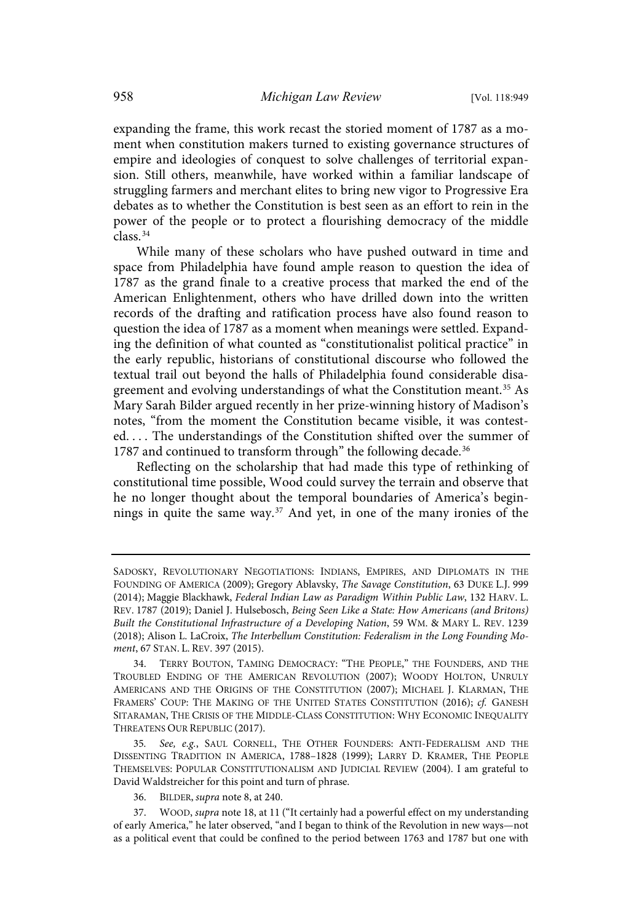expanding the frame, this work recast the storied moment of 1787 as a moment when constitution makers turned to existing governance structures of empire and ideologies of conquest to solve challenges of territorial expansion. Still others, meanwhile, have worked within a familiar landscape of struggling farmers and merchant elites to bring new vigor to Progressive Era debates as to whether the Constitution is best seen as an effort to rein in the power of the people or to protect a flourishing democracy of the middle class.<sup>34</sup>

While many of these scholars who have pushed outward in time and space from Philadelphia have found ample reason to question the idea of 1787 as the grand finale to a creative process that marked the end of the American Enlightenment, others who have drilled down into the written records of the drafting and ratification process have also found reason to question the idea of 1787 as a moment when meanings were settled. Expanding the definition of what counted as "constitutionalist political practice" in the early republic, historians of constitutional discourse who followed the textual trail out beyond the halls of Philadelphia found considerable disagreement and evolving understandings of what the Constitution meant.<sup>35</sup> As Mary Sarah Bilder argued recently in her prize-winning history of Madison's notes, "from the moment the Constitution became visible, it was contested. . . . The understandings of the Constitution shifted over the summer of 1787 and continued to transform through" the following decade.<sup>36</sup>

Reflecting on the scholarship that had made this type of rethinking of constitutional time possible, Wood could survey the terrain and observe that he no longer thought about the temporal boundaries of America's beginnings in quite the same way.<sup>37</sup> And yet, in one of the many ironies of the

36. BILDER, supra note 8, at 240.

37. WOOD, supra note 18, at 11 ("It certainly had a powerful effect on my understanding of early America," he later observed, "and I began to think of the Revolution in new ways—not as a political event that could be confined to the period between 1763 and 1787 but one with

SADOSKY, REVOLUTIONARY NEGOTIATIONS: INDIANS, EMPIRES, AND DIPLOMATS IN THE FOUNDING OF AMERICA (2009); Gregory Ablavsky, The Savage Constitution, 63 DUKE L.J. 999 (2014); Maggie Blackhawk, Federal Indian Law as Paradigm Within Public Law, 132 HARV. L. REV. 1787 (2019); Daniel J. Hulsebosch, Being Seen Like a State: How Americans (and Britons) Built the Constitutional Infrastructure of a Developing Nation, 59 WM. & MARY L. REV. 1239 (2018); Alison L. LaCroix, The Interbellum Constitution: Federalism in the Long Founding Moment, 67 STAN. L. REV. 397 (2015).

<sup>34.</sup> TERRY BOUTON, TAMING DEMOCRACY: "THE PEOPLE," THE FOUNDERS, AND THE TROUBLED ENDING OF THE AMERICAN REVOLUTION (2007); WOODY HOLTON, UNRULY AMERICANS AND THE ORIGINS OF THE CONSTITUTION (2007); MICHAEL J. KLARMAN, THE FRAMERS' COUP: THE MAKING OF THE UNITED STATES CONSTITUTION (2016); cf. GANESH SITARAMAN, THE CRISIS OF THE MIDDLE-CLASS CONSTITUTION: WHY ECONOMIC INEQUALITY THREATENS OUR REPUBLIC (2017).

<sup>35</sup>. See, e.g., SAUL CORNELL, THE OTHER FOUNDERS: ANTI-FEDERALISM AND THE DISSENTING TRADITION IN AMERICA, 1788–1828 (1999); LARRY D. KRAMER, THE PEOPLE THEMSELVES: POPULAR CONSTITUTIONALISM AND JUDICIAL REVIEW (2004). I am grateful to David Waldstreicher for this point and turn of phrase.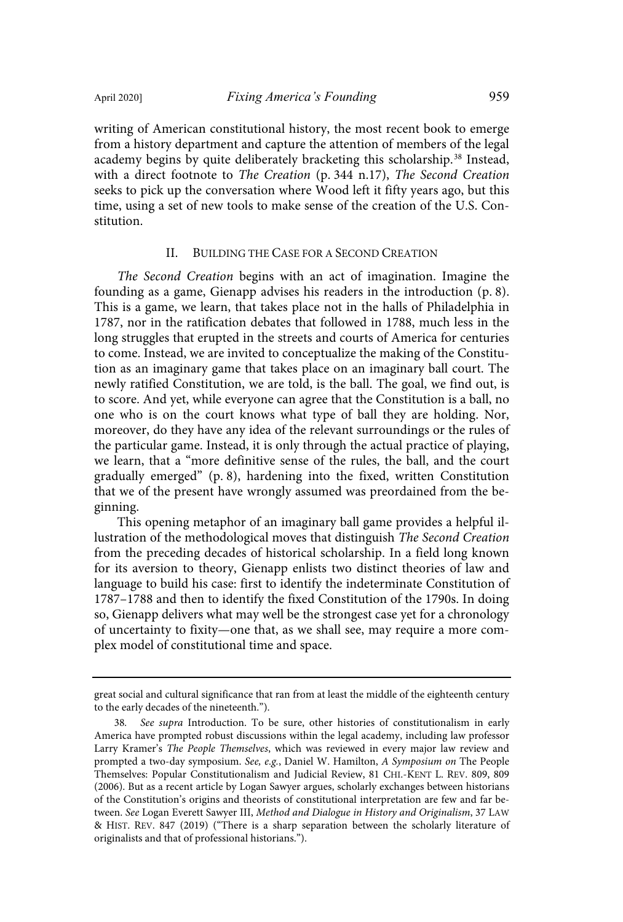writing of American constitutional history, the most recent book to emerge from a history department and capture the attention of members of the legal academy begins by quite deliberately bracketing this scholarship.<sup>38</sup> Instead, with a direct footnote to The Creation (p. 344 n.17), The Second Creation seeks to pick up the conversation where Wood left it fifty years ago, but this time, using a set of new tools to make sense of the creation of the U.S. Constitution.

### II. BUILDING THE CASE FOR A SECOND CREATION

The Second Creation begins with an act of imagination. Imagine the founding as a game, Gienapp advises his readers in the introduction (p. 8). This is a game, we learn, that takes place not in the halls of Philadelphia in 1787, nor in the ratification debates that followed in 1788, much less in the long struggles that erupted in the streets and courts of America for centuries to come. Instead, we are invited to conceptualize the making of the Constitution as an imaginary game that takes place on an imaginary ball court. The newly ratified Constitution, we are told, is the ball. The goal, we find out, is to score. And yet, while everyone can agree that the Constitution is a ball, no one who is on the court knows what type of ball they are holding. Nor, moreover, do they have any idea of the relevant surroundings or the rules of the particular game. Instead, it is only through the actual practice of playing, we learn, that a "more definitive sense of the rules, the ball, and the court gradually emerged" (p. 8), hardening into the fixed, written Constitution that we of the present have wrongly assumed was preordained from the beginning.

This opening metaphor of an imaginary ball game provides a helpful illustration of the methodological moves that distinguish The Second Creation from the preceding decades of historical scholarship. In a field long known for its aversion to theory, Gienapp enlists two distinct theories of law and language to build his case: first to identify the indeterminate Constitution of 1787–1788 and then to identify the fixed Constitution of the 1790s. In doing so, Gienapp delivers what may well be the strongest case yet for a chronology of uncertainty to fixity—one that, as we shall see, may require a more complex model of constitutional time and space.

great social and cultural significance that ran from at least the middle of the eighteenth century to the early decades of the nineteenth.").

See supra Introduction. To be sure, other histories of constitutionalism in early America have prompted robust discussions within the legal academy, including law professor Larry Kramer's The People Themselves, which was reviewed in every major law review and prompted a two-day symposium. See, e.g., Daniel W. Hamilton, A Symposium on The People Themselves: Popular Constitutionalism and Judicial Review, 81 CHI.-KENT L. REV. 809, 809 (2006). But as a recent article by Logan Sawyer argues, scholarly exchanges between historians of the Constitution's origins and theorists of constitutional interpretation are few and far between. See Logan Everett Sawyer III, Method and Dialogue in History and Originalism, 37 LAW & HIST. REV. 847 (2019) ("There is a sharp separation between the scholarly literature of originalists and that of professional historians.").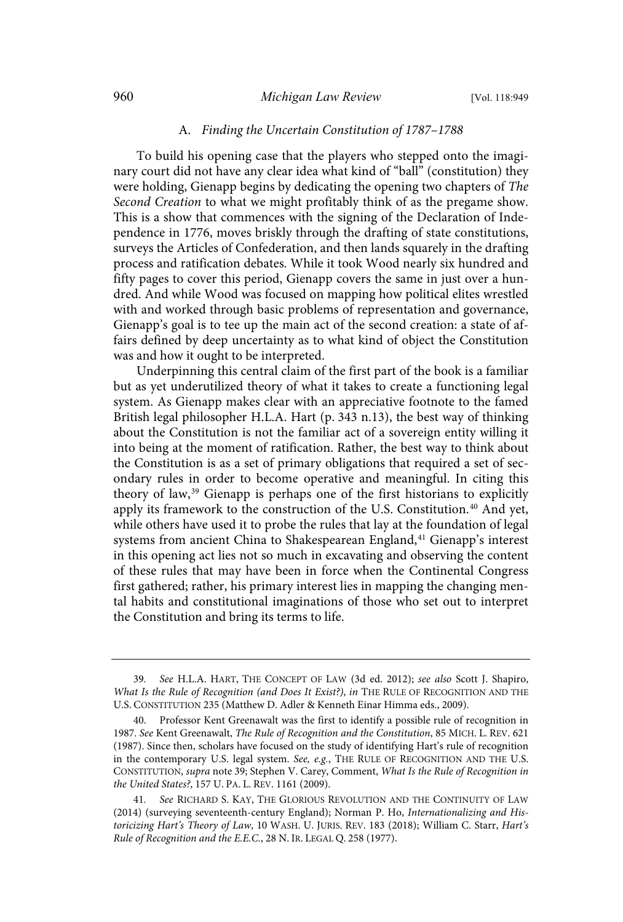#### A. Finding the Uncertain Constitution of 1787–1788

To build his opening case that the players who stepped onto the imaginary court did not have any clear idea what kind of "ball" (constitution) they were holding, Gienapp begins by dedicating the opening two chapters of The Second Creation to what we might profitably think of as the pregame show. This is a show that commences with the signing of the Declaration of Independence in 1776, moves briskly through the drafting of state constitutions, surveys the Articles of Confederation, and then lands squarely in the drafting process and ratification debates. While it took Wood nearly six hundred and fifty pages to cover this period, Gienapp covers the same in just over a hundred. And while Wood was focused on mapping how political elites wrestled with and worked through basic problems of representation and governance, Gienapp's goal is to tee up the main act of the second creation: a state of affairs defined by deep uncertainty as to what kind of object the Constitution was and how it ought to be interpreted.

Underpinning this central claim of the first part of the book is a familiar but as yet underutilized theory of what it takes to create a functioning legal system. As Gienapp makes clear with an appreciative footnote to the famed British legal philosopher H.L.A. Hart (p. 343 n.13), the best way of thinking about the Constitution is not the familiar act of a sovereign entity willing it into being at the moment of ratification. Rather, the best way to think about the Constitution is as a set of primary obligations that required a set of secondary rules in order to become operative and meaningful. In citing this theory of law,<sup>39</sup> Gienapp is perhaps one of the first historians to explicitly apply its framework to the construction of the U.S. Constitution. <sup>40</sup> And yet, while others have used it to probe the rules that lay at the foundation of legal systems from ancient China to Shakespearean England,<sup>41</sup> Gienapp's interest in this opening act lies not so much in excavating and observing the content of these rules that may have been in force when the Continental Congress first gathered; rather, his primary interest lies in mapping the changing mental habits and constitutional imaginations of those who set out to interpret the Constitution and bring its terms to life.

<sup>39</sup>. See H.L.A. HART, THE CONCEPT OF LAW (3d ed. 2012); see also Scott J. Shapiro, What Is the Rule of Recognition (and Does It Exist?), in THE RULE OF RECOGNITION AND THE U.S. CONSTITUTION 235 (Matthew D. Adler & Kenneth Einar Himma eds., 2009).

<sup>40.</sup> Professor Kent Greenawalt was the first to identify a possible rule of recognition in 1987. See Kent Greenawalt, The Rule of Recognition and the Constitution, 85 MICH. L. REV. 621 (1987). Since then, scholars have focused on the study of identifying Hart's rule of recognition in the contemporary U.S. legal system. See, e.g., THE RULE OF RECOGNITION AND THE U.S. CONSTITUTION, supra note 39; Stephen V. Carey, Comment, What Is the Rule of Recognition in the United States?, 157 U. PA. L. REV. 1161 (2009).

<sup>41</sup>. See RICHARD S. KAY, THE GLORIOUS REVOLUTION AND THE CONTINUITY OF LAW (2014) (surveying seventeenth-century England); Norman P. Ho, Internationalizing and Historicizing Hart's Theory of Law, 10 WASH. U. JURIS. REV. 183 (2018); William C. Starr, Hart's Rule of Recognition and the E.E.C., 28 N. IR. LEGAL Q. 258 (1977).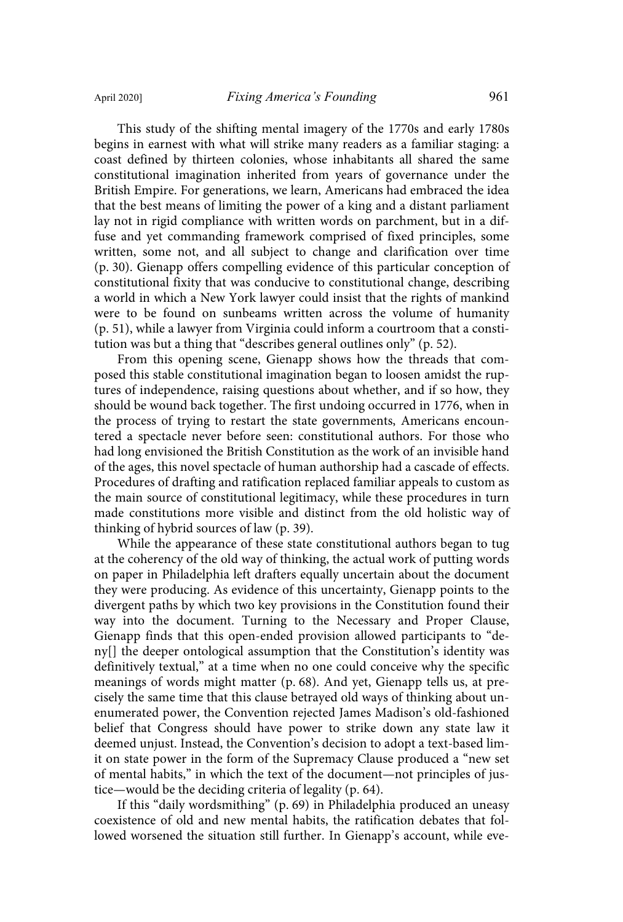This study of the shifting mental imagery of the 1770s and early 1780s begins in earnest with what will strike many readers as a familiar staging: a coast defined by thirteen colonies, whose inhabitants all shared the same constitutional imagination inherited from years of governance under the British Empire. For generations, we learn, Americans had embraced the idea that the best means of limiting the power of a king and a distant parliament lay not in rigid compliance with written words on parchment, but in a diffuse and yet commanding framework comprised of fixed principles, some written, some not, and all subject to change and clarification over time (p. 30). Gienapp offers compelling evidence of this particular conception of constitutional fixity that was conducive to constitutional change, describing a world in which a New York lawyer could insist that the rights of mankind were to be found on sunbeams written across the volume of humanity (p. 51), while a lawyer from Virginia could inform a courtroom that a constitution was but a thing that "describes general outlines only" (p. 52).

From this opening scene, Gienapp shows how the threads that composed this stable constitutional imagination began to loosen amidst the ruptures of independence, raising questions about whether, and if so how, they should be wound back together. The first undoing occurred in 1776, when in the process of trying to restart the state governments, Americans encountered a spectacle never before seen: constitutional authors. For those who had long envisioned the British Constitution as the work of an invisible hand of the ages, this novel spectacle of human authorship had a cascade of effects. Procedures of drafting and ratification replaced familiar appeals to custom as the main source of constitutional legitimacy, while these procedures in turn made constitutions more visible and distinct from the old holistic way of thinking of hybrid sources of law (p. 39).

While the appearance of these state constitutional authors began to tug at the coherency of the old way of thinking, the actual work of putting words on paper in Philadelphia left drafters equally uncertain about the document they were producing. As evidence of this uncertainty, Gienapp points to the divergent paths by which two key provisions in the Constitution found their way into the document. Turning to the Necessary and Proper Clause, Gienapp finds that this open-ended provision allowed participants to "deny[] the deeper ontological assumption that the Constitution's identity was definitively textual," at a time when no one could conceive why the specific meanings of words might matter (p. 68). And yet, Gienapp tells us, at precisely the same time that this clause betrayed old ways of thinking about unenumerated power, the Convention rejected James Madison's old-fashioned belief that Congress should have power to strike down any state law it deemed unjust. Instead, the Convention's decision to adopt a text-based limit on state power in the form of the Supremacy Clause produced a "new set of mental habits," in which the text of the document—not principles of justice—would be the deciding criteria of legality (p. 64).

If this "daily wordsmithing" (p. 69) in Philadelphia produced an uneasy coexistence of old and new mental habits, the ratification debates that followed worsened the situation still further. In Gienapp's account, while eve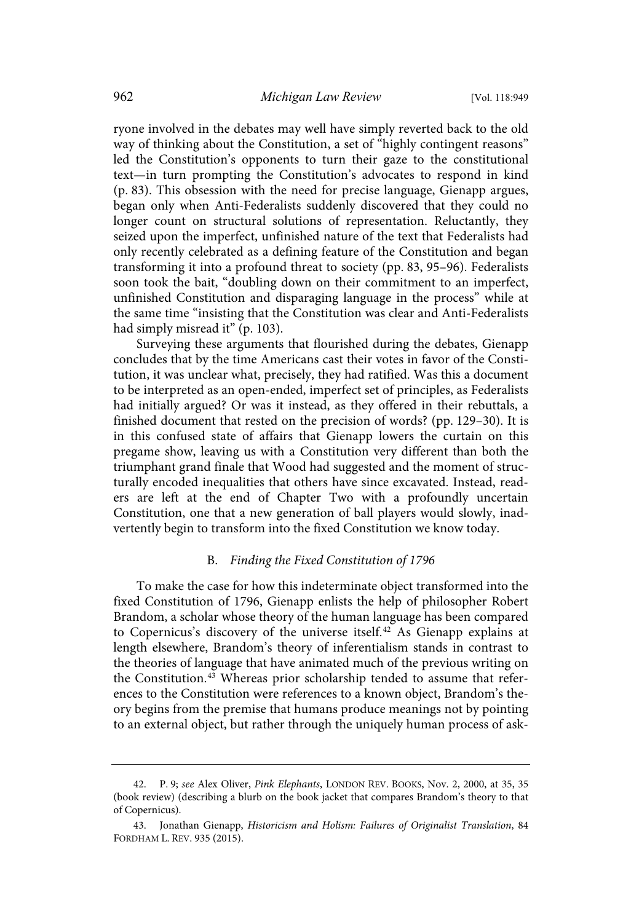ryone involved in the debates may well have simply reverted back to the old way of thinking about the Constitution, a set of "highly contingent reasons" led the Constitution's opponents to turn their gaze to the constitutional text—in turn prompting the Constitution's advocates to respond in kind (p. 83). This obsession with the need for precise language, Gienapp argues, began only when Anti-Federalists suddenly discovered that they could no longer count on structural solutions of representation. Reluctantly, they seized upon the imperfect, unfinished nature of the text that Federalists had only recently celebrated as a defining feature of the Constitution and began transforming it into a profound threat to society (pp. 83, 95–96). Federalists soon took the bait, "doubling down on their commitment to an imperfect, unfinished Constitution and disparaging language in the process" while at the same time "insisting that the Constitution was clear and Anti-Federalists had simply misread it" (p. 103).

Surveying these arguments that flourished during the debates, Gienapp concludes that by the time Americans cast their votes in favor of the Constitution, it was unclear what, precisely, they had ratified. Was this a document to be interpreted as an open-ended, imperfect set of principles, as Federalists had initially argued? Or was it instead, as they offered in their rebuttals, a finished document that rested on the precision of words? (pp. 129–30). It is in this confused state of affairs that Gienapp lowers the curtain on this pregame show, leaving us with a Constitution very different than both the triumphant grand finale that Wood had suggested and the moment of structurally encoded inequalities that others have since excavated. Instead, readers are left at the end of Chapter Two with a profoundly uncertain Constitution, one that a new generation of ball players would slowly, inadvertently begin to transform into the fixed Constitution we know today.

#### B. Finding the Fixed Constitution of 1796

To make the case for how this indeterminate object transformed into the fixed Constitution of 1796, Gienapp enlists the help of philosopher Robert Brandom, a scholar whose theory of the human language has been compared to Copernicus's discovery of the universe itself. <sup>42</sup> As Gienapp explains at length elsewhere, Brandom's theory of inferentialism stands in contrast to the theories of language that have animated much of the previous writing on the Constitution. <sup>43</sup> Whereas prior scholarship tended to assume that references to the Constitution were references to a known object, Brandom's theory begins from the premise that humans produce meanings not by pointing to an external object, but rather through the uniquely human process of ask-

<sup>42.</sup> P. 9; see Alex Oliver, Pink Elephants, LONDON REV. BOOKS, Nov. 2, 2000, at 35, 35 (book review) (describing a blurb on the book jacket that compares Brandom's theory to that of Copernicus).

<sup>43.</sup> Jonathan Gienapp, Historicism and Holism: Failures of Originalist Translation, 84 FORDHAM L. REV. 935 (2015).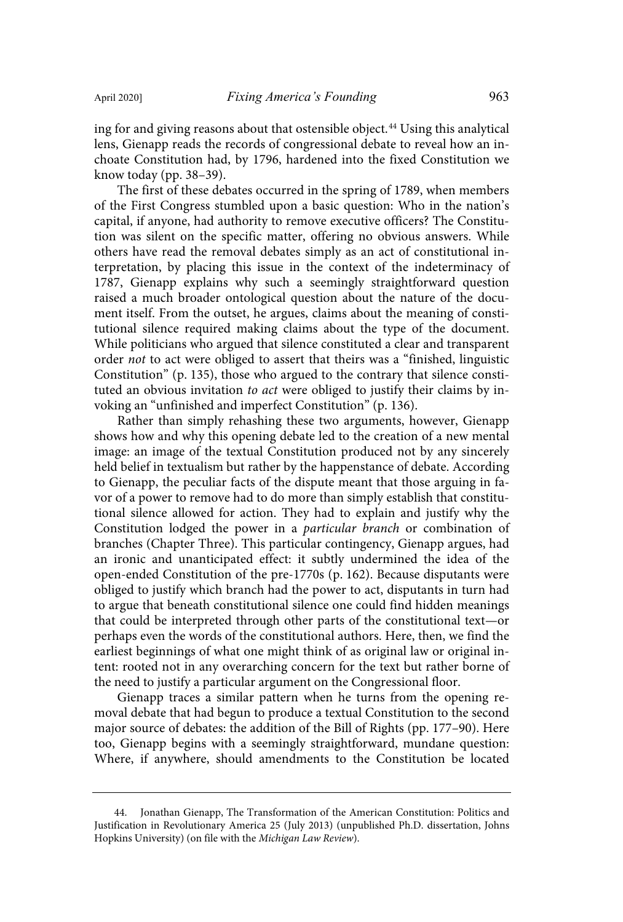ing for and giving reasons about that ostensible object. <sup>44</sup> Using this analytical lens, Gienapp reads the records of congressional debate to reveal how an inchoate Constitution had, by 1796, hardened into the fixed Constitution we know today (pp. 38–39).

The first of these debates occurred in the spring of 1789, when members of the First Congress stumbled upon a basic question: Who in the nation's capital, if anyone, had authority to remove executive officers? The Constitution was silent on the specific matter, offering no obvious answers. While others have read the removal debates simply as an act of constitutional interpretation, by placing this issue in the context of the indeterminacy of 1787, Gienapp explains why such a seemingly straightforward question raised a much broader ontological question about the nature of the document itself. From the outset, he argues, claims about the meaning of constitutional silence required making claims about the type of the document. While politicians who argued that silence constituted a clear and transparent order not to act were obliged to assert that theirs was a "finished, linguistic Constitution" (p. 135), those who argued to the contrary that silence constituted an obvious invitation to act were obliged to justify their claims by invoking an "unfinished and imperfect Constitution" (p. 136).

Rather than simply rehashing these two arguments, however, Gienapp shows how and why this opening debate led to the creation of a new mental image: an image of the textual Constitution produced not by any sincerely held belief in textualism but rather by the happenstance of debate. According to Gienapp, the peculiar facts of the dispute meant that those arguing in favor of a power to remove had to do more than simply establish that constitutional silence allowed for action. They had to explain and justify why the Constitution lodged the power in a particular branch or combination of branches (Chapter Three). This particular contingency, Gienapp argues, had an ironic and unanticipated effect: it subtly undermined the idea of the open-ended Constitution of the pre-1770s (p. 162). Because disputants were obliged to justify which branch had the power to act, disputants in turn had to argue that beneath constitutional silence one could find hidden meanings that could be interpreted through other parts of the constitutional text—or perhaps even the words of the constitutional authors. Here, then, we find the earliest beginnings of what one might think of as original law or original intent: rooted not in any overarching concern for the text but rather borne of the need to justify a particular argument on the Congressional floor.

Gienapp traces a similar pattern when he turns from the opening removal debate that had begun to produce a textual Constitution to the second major source of debates: the addition of the Bill of Rights (pp. 177–90). Here too, Gienapp begins with a seemingly straightforward, mundane question: Where, if anywhere, should amendments to the Constitution be located

<sup>44.</sup> Jonathan Gienapp, The Transformation of the American Constitution: Politics and Justification in Revolutionary America 25 (July 2013) (unpublished Ph.D. dissertation, Johns Hopkins University) (on file with the Michigan Law Review).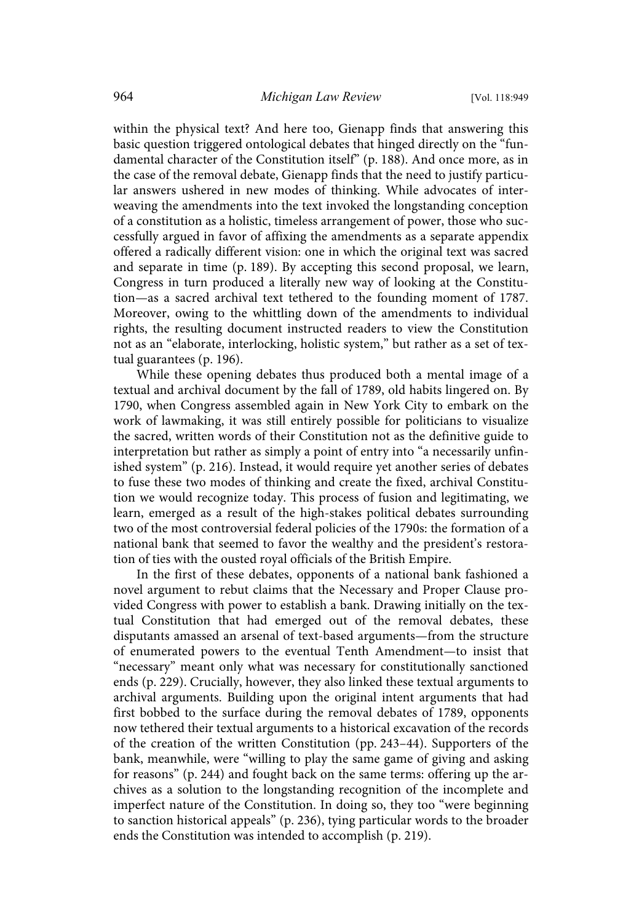within the physical text? And here too, Gienapp finds that answering this basic question triggered ontological debates that hinged directly on the "fundamental character of the Constitution itself" (p. 188). And once more, as in the case of the removal debate, Gienapp finds that the need to justify particular answers ushered in new modes of thinking. While advocates of interweaving the amendments into the text invoked the longstanding conception of a constitution as a holistic, timeless arrangement of power, those who successfully argued in favor of affixing the amendments as a separate appendix offered a radically different vision: one in which the original text was sacred and separate in time (p. 189). By accepting this second proposal, we learn, Congress in turn produced a literally new way of looking at the Constitution—as a sacred archival text tethered to the founding moment of 1787. Moreover, owing to the whittling down of the amendments to individual rights, the resulting document instructed readers to view the Constitution not as an "elaborate, interlocking, holistic system," but rather as a set of textual guarantees (p. 196).

While these opening debates thus produced both a mental image of a textual and archival document by the fall of 1789, old habits lingered on. By 1790, when Congress assembled again in New York City to embark on the work of lawmaking, it was still entirely possible for politicians to visualize the sacred, written words of their Constitution not as the definitive guide to interpretation but rather as simply a point of entry into "a necessarily unfinished system" (p. 216). Instead, it would require yet another series of debates to fuse these two modes of thinking and create the fixed, archival Constitution we would recognize today. This process of fusion and legitimating, we learn, emerged as a result of the high-stakes political debates surrounding two of the most controversial federal policies of the 1790s: the formation of a national bank that seemed to favor the wealthy and the president's restoration of ties with the ousted royal officials of the British Empire.

In the first of these debates, opponents of a national bank fashioned a novel argument to rebut claims that the Necessary and Proper Clause provided Congress with power to establish a bank. Drawing initially on the textual Constitution that had emerged out of the removal debates, these disputants amassed an arsenal of text-based arguments—from the structure of enumerated powers to the eventual Tenth Amendment—to insist that "necessary" meant only what was necessary for constitutionally sanctioned ends (p. 229). Crucially, however, they also linked these textual arguments to archival arguments. Building upon the original intent arguments that had first bobbed to the surface during the removal debates of 1789, opponents now tethered their textual arguments to a historical excavation of the records of the creation of the written Constitution (pp. 243–44). Supporters of the bank, meanwhile, were "willing to play the same game of giving and asking for reasons" (p. 244) and fought back on the same terms: offering up the archives as a solution to the longstanding recognition of the incomplete and imperfect nature of the Constitution. In doing so, they too "were beginning to sanction historical appeals" (p. 236), tying particular words to the broader ends the Constitution was intended to accomplish (p. 219).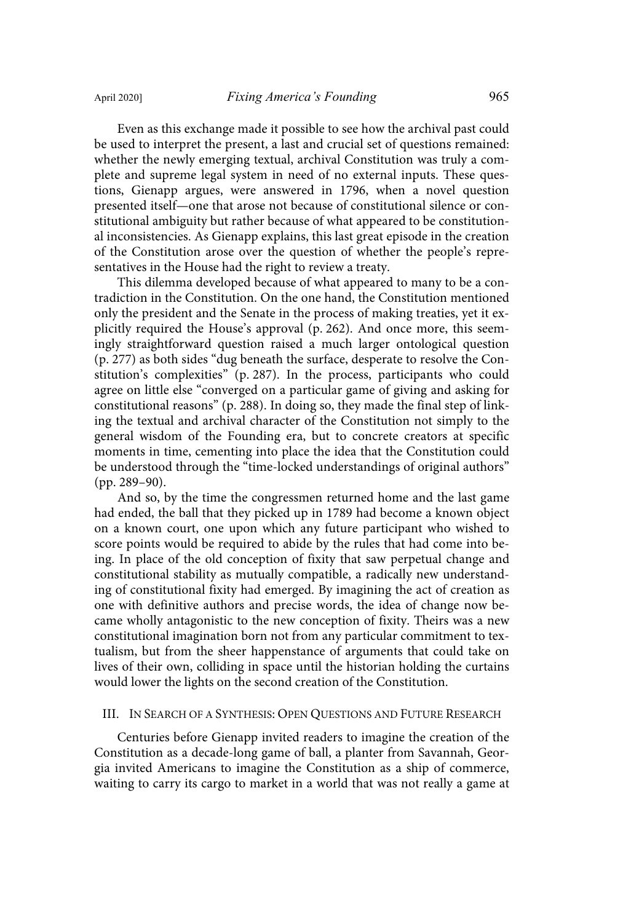Even as this exchange made it possible to see how the archival past could be used to interpret the present, a last and crucial set of questions remained: whether the newly emerging textual, archival Constitution was truly a complete and supreme legal system in need of no external inputs. These questions, Gienapp argues, were answered in 1796, when a novel question presented itself—one that arose not because of constitutional silence or constitutional ambiguity but rather because of what appeared to be constitutional inconsistencies. As Gienapp explains, this last great episode in the creation of the Constitution arose over the question of whether the people's representatives in the House had the right to review a treaty.

This dilemma developed because of what appeared to many to be a contradiction in the Constitution. On the one hand, the Constitution mentioned only the president and the Senate in the process of making treaties, yet it explicitly required the House's approval (p. 262). And once more, this seemingly straightforward question raised a much larger ontological question (p. 277) as both sides "dug beneath the surface, desperate to resolve the Constitution's complexities" (p. 287). In the process, participants who could agree on little else "converged on a particular game of giving and asking for constitutional reasons" (p. 288). In doing so, they made the final step of linking the textual and archival character of the Constitution not simply to the general wisdom of the Founding era, but to concrete creators at specific moments in time, cementing into place the idea that the Constitution could be understood through the "time-locked understandings of original authors" (pp. 289–90).

And so, by the time the congressmen returned home and the last game had ended, the ball that they picked up in 1789 had become a known object on a known court, one upon which any future participant who wished to score points would be required to abide by the rules that had come into being. In place of the old conception of fixity that saw perpetual change and constitutional stability as mutually compatible, a radically new understanding of constitutional fixity had emerged. By imagining the act of creation as one with definitive authors and precise words, the idea of change now became wholly antagonistic to the new conception of fixity. Theirs was a new constitutional imagination born not from any particular commitment to textualism, but from the sheer happenstance of arguments that could take on lives of their own, colliding in space until the historian holding the curtains would lower the lights on the second creation of the Constitution.

#### III. IN SEARCH OF A SYNTHESIS: OPEN QUESTIONS AND FUTURE RESEARCH

Centuries before Gienapp invited readers to imagine the creation of the Constitution as a decade-long game of ball, a planter from Savannah, Georgia invited Americans to imagine the Constitution as a ship of commerce, waiting to carry its cargo to market in a world that was not really a game at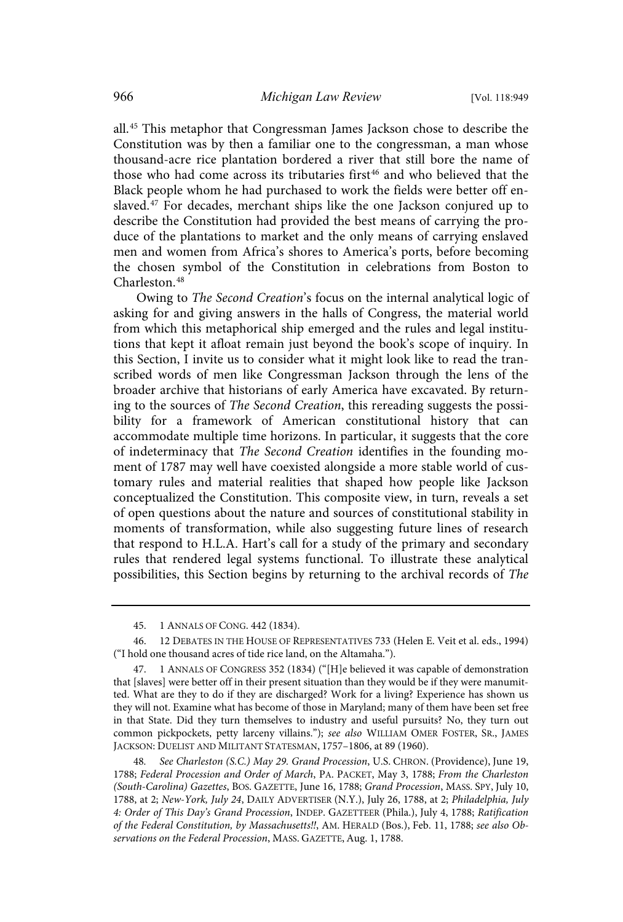all.<sup>45</sup> This metaphor that Congressman James Jackson chose to describe the Constitution was by then a familiar one to the congressman, a man whose thousand-acre rice plantation bordered a river that still bore the name of those who had come across its tributaries first <sup>46</sup> and who believed that the Black people whom he had purchased to work the fields were better off enslaved.<sup>47</sup> For decades, merchant ships like the one Jackson conjured up to describe the Constitution had provided the best means of carrying the produce of the plantations to market and the only means of carrying enslaved men and women from Africa's shores to America's ports, before becoming the chosen symbol of the Constitution in celebrations from Boston to Charleston. 48

Owing to The Second Creation's focus on the internal analytical logic of asking for and giving answers in the halls of Congress, the material world from which this metaphorical ship emerged and the rules and legal institutions that kept it afloat remain just beyond the book's scope of inquiry. In this Section, I invite us to consider what it might look like to read the transcribed words of men like Congressman Jackson through the lens of the broader archive that historians of early America have excavated. By returning to the sources of The Second Creation, this rereading suggests the possibility for a framework of American constitutional history that can accommodate multiple time horizons. In particular, it suggests that the core of indeterminacy that The Second Creation identifies in the founding moment of 1787 may well have coexisted alongside a more stable world of customary rules and material realities that shaped how people like Jackson conceptualized the Constitution. This composite view, in turn, reveals a set of open questions about the nature and sources of constitutional stability in moments of transformation, while also suggesting future lines of research that respond to H.L.A. Hart's call for a study of the primary and secondary rules that rendered legal systems functional. To illustrate these analytical possibilities, this Section begins by returning to the archival records of The

48. See Charleston (S.C.) May 29. Grand Procession, U.S. CHRON. (Providence), June 19, 1788; Federal Procession and Order of March, PA. PACKET, May 3, 1788; From the Charleston (South-Carolina) Gazettes, BOS. GAZETTE, June 16, 1788; Grand Procession, MASS. SPY, July 10, 1788, at 2; New-York, July 24, DAILY ADVERTISER (N.Y.), July 26, 1788, at 2; Philadelphia, July 4: Order of This Day's Grand Procession, INDEP. GAZETTEER (Phila.), July 4, 1788; Ratification of the Federal Constitution, by Massachusetts!!, AM. HERALD (Bos.), Feb. 11, 1788; see also Observations on the Federal Procession, MASS. GAZETTE, Aug. 1, 1788.

<sup>45.</sup> 1 ANNALS OF CONG. 442 (1834).

<sup>46.</sup> 12 DEBATES IN THE HOUSE OF REPRESENTATIVES 733 (Helen E. Veit et al. eds., 1994) ("I hold one thousand acres of tide rice land, on the Altamaha.").

<sup>47.</sup> 1 ANNALS OF CONGRESS 352 (1834) ("[H]e believed it was capable of demonstration that [slaves] were better off in their present situation than they would be if they were manumitted. What are they to do if they are discharged? Work for a living? Experience has shown us they will not. Examine what has become of those in Maryland; many of them have been set free in that State. Did they turn themselves to industry and useful pursuits? No, they turn out common pickpockets, petty larceny villains."); see also WILLIAM OMER FOSTER, SR., JAMES JACKSON: DUELIST AND MILITANT STATESMAN, 1757–1806, at 89 (1960).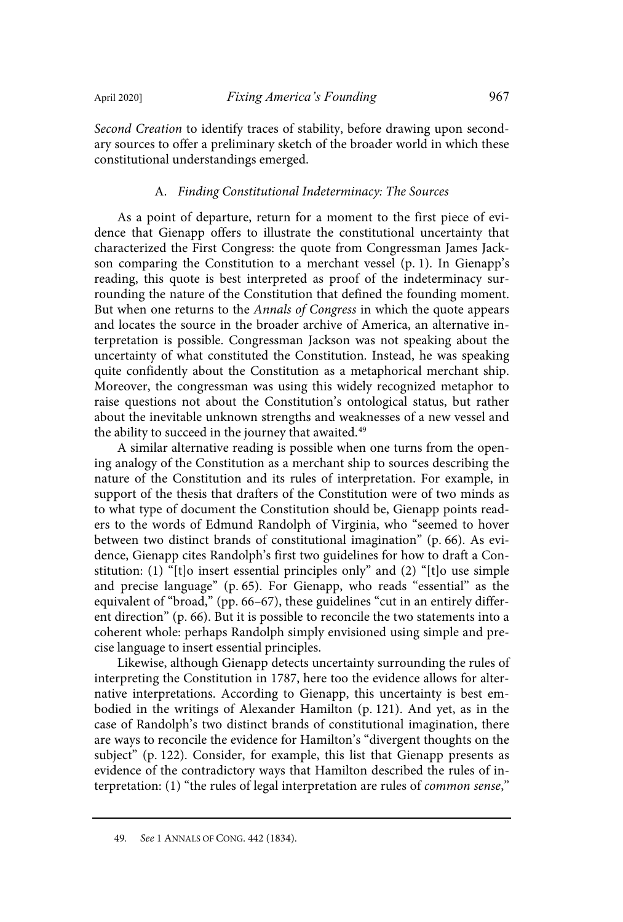Second Creation to identify traces of stability, before drawing upon secondary sources to offer a preliminary sketch of the broader world in which these constitutional understandings emerged.

### A. Finding Constitutional Indeterminacy: The Sources

As a point of departure, return for a moment to the first piece of evidence that Gienapp offers to illustrate the constitutional uncertainty that characterized the First Congress: the quote from Congressman James Jackson comparing the Constitution to a merchant vessel (p. 1). In Gienapp's reading, this quote is best interpreted as proof of the indeterminacy surrounding the nature of the Constitution that defined the founding moment. But when one returns to the *Annals of Congress* in which the quote appears and locates the source in the broader archive of America, an alternative interpretation is possible. Congressman Jackson was not speaking about the uncertainty of what constituted the Constitution. Instead, he was speaking quite confidently about the Constitution as a metaphorical merchant ship. Moreover, the congressman was using this widely recognized metaphor to raise questions not about the Constitution's ontological status, but rather about the inevitable unknown strengths and weaknesses of a new vessel and the ability to succeed in the journey that awaited.<sup>49</sup>

A similar alternative reading is possible when one turns from the opening analogy of the Constitution as a merchant ship to sources describing the nature of the Constitution and its rules of interpretation. For example, in support of the thesis that drafters of the Constitution were of two minds as to what type of document the Constitution should be, Gienapp points readers to the words of Edmund Randolph of Virginia, who "seemed to hover between two distinct brands of constitutional imagination" (p. 66). As evidence, Gienapp cites Randolph's first two guidelines for how to draft a Constitution: (1) "[t]o insert essential principles only" and (2) "[t]o use simple and precise language" (p. 65). For Gienapp, who reads "essential" as the equivalent of "broad," (pp. 66–67), these guidelines "cut in an entirely different direction" (p. 66). But it is possible to reconcile the two statements into a coherent whole: perhaps Randolph simply envisioned using simple and precise language to insert essential principles.

Likewise, although Gienapp detects uncertainty surrounding the rules of interpreting the Constitution in 1787, here too the evidence allows for alternative interpretations. According to Gienapp, this uncertainty is best embodied in the writings of Alexander Hamilton (p. 121). And yet, as in the case of Randolph's two distinct brands of constitutional imagination, there are ways to reconcile the evidence for Hamilton's "divergent thoughts on the subject" (p. 122). Consider, for example, this list that Gienapp presents as evidence of the contradictory ways that Hamilton described the rules of interpretation: (1) "the rules of legal interpretation are rules of common sense,"

<sup>49</sup>. See 1 ANNALS OF CONG. 442 (1834).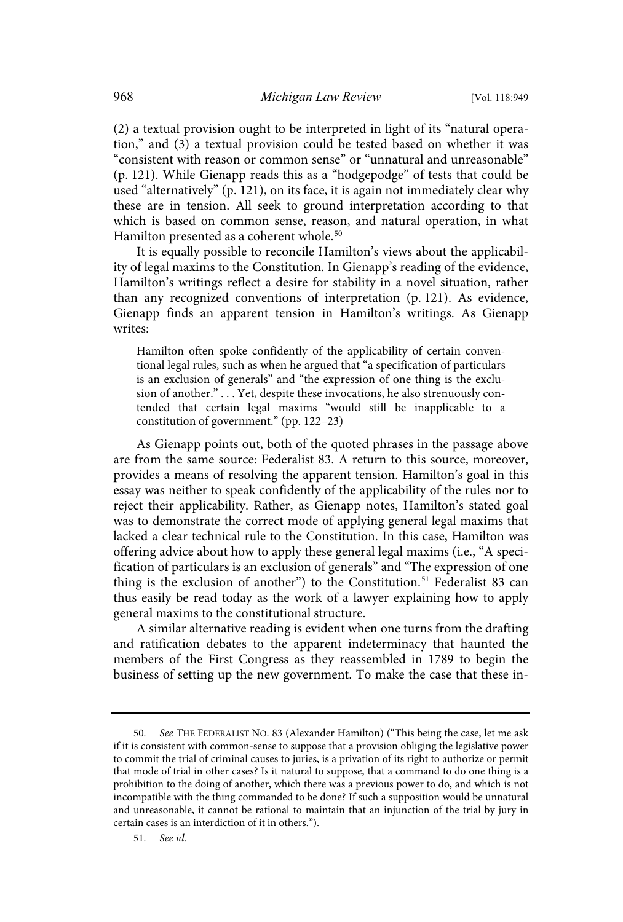(2) a textual provision ought to be interpreted in light of its "natural operation," and (3) a textual provision could be tested based on whether it was "consistent with reason or common sense" or "unnatural and unreasonable" (p. 121). While Gienapp reads this as a "hodgepodge" of tests that could be used "alternatively" (p. 121), on its face, it is again not immediately clear why these are in tension. All seek to ground interpretation according to that which is based on common sense, reason, and natural operation, in what Hamilton presented as a coherent whole.<sup>50</sup>

It is equally possible to reconcile Hamilton's views about the applicability of legal maxims to the Constitution. In Gienapp's reading of the evidence, Hamilton's writings reflect a desire for stability in a novel situation, rather than any recognized conventions of interpretation (p. 121). As evidence, Gienapp finds an apparent tension in Hamilton's writings. As Gienapp writes:

Hamilton often spoke confidently of the applicability of certain conventional legal rules, such as when he argued that "a specification of particulars is an exclusion of generals" and "the expression of one thing is the exclusion of another." . . . Yet, despite these invocations, he also strenuously contended that certain legal maxims "would still be inapplicable to a constitution of government." (pp. 122–23)

As Gienapp points out, both of the quoted phrases in the passage above are from the same source: Federalist 83. A return to this source, moreover, provides a means of resolving the apparent tension. Hamilton's goal in this essay was neither to speak confidently of the applicability of the rules nor to reject their applicability. Rather, as Gienapp notes, Hamilton's stated goal was to demonstrate the correct mode of applying general legal maxims that lacked a clear technical rule to the Constitution. In this case, Hamilton was offering advice about how to apply these general legal maxims (i.e., "A specification of particulars is an exclusion of generals" and "The expression of one thing is the exclusion of another") to the Constitution. <sup>51</sup> Federalist 83 can thus easily be read today as the work of a lawyer explaining how to apply general maxims to the constitutional structure.

A similar alternative reading is evident when one turns from the drafting and ratification debates to the apparent indeterminacy that haunted the members of the First Congress as they reassembled in 1789 to begin the business of setting up the new government. To make the case that these in-

<sup>50</sup>. See THE FEDERALIST NO. 83 (Alexander Hamilton) ("This being the case, let me ask if it is consistent with common-sense to suppose that a provision obliging the legislative power to commit the trial of criminal causes to juries, is a privation of its right to authorize or permit that mode of trial in other cases? Is it natural to suppose, that a command to do one thing is a prohibition to the doing of another, which there was a previous power to do, and which is not incompatible with the thing commanded to be done? If such a supposition would be unnatural and unreasonable, it cannot be rational to maintain that an injunction of the trial by jury in certain cases is an interdiction of it in others.").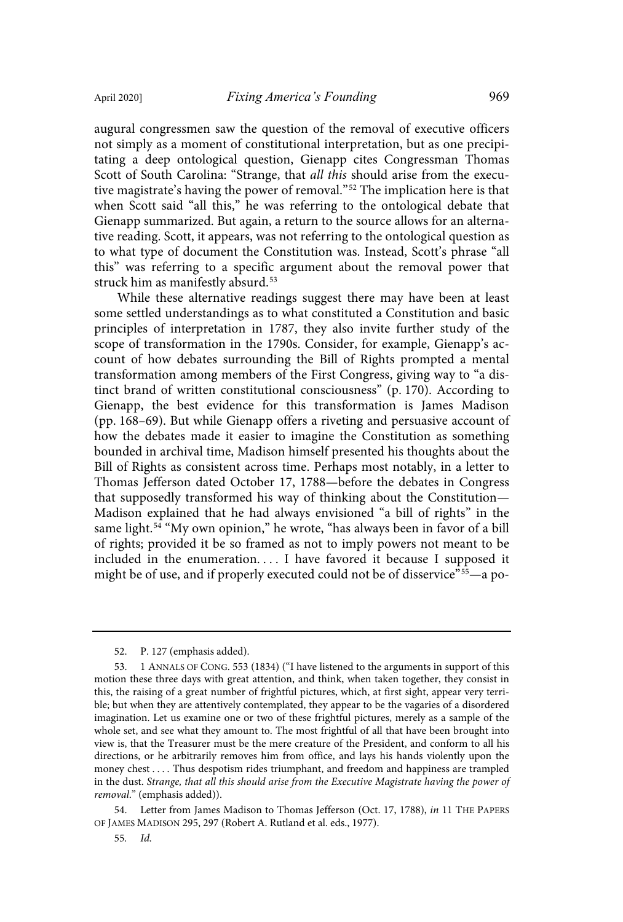augural congressmen saw the question of the removal of executive officers not simply as a moment of constitutional interpretation, but as one precipitating a deep ontological question, Gienapp cites Congressman Thomas Scott of South Carolina: "Strange, that all this should arise from the executive magistrate's having the power of removal."<sup>52</sup> The implication here is that when Scott said "all this," he was referring to the ontological debate that Gienapp summarized. But again, a return to the source allows for an alternative reading. Scott, it appears, was not referring to the ontological question as to what type of document the Constitution was. Instead, Scott's phrase "all this" was referring to a specific argument about the removal power that struck him as manifestly absurd.<sup>53</sup>

While these alternative readings suggest there may have been at least some settled understandings as to what constituted a Constitution and basic principles of interpretation in 1787, they also invite further study of the scope of transformation in the 1790s. Consider, for example, Gienapp's account of how debates surrounding the Bill of Rights prompted a mental transformation among members of the First Congress, giving way to "a distinct brand of written constitutional consciousness" (p. 170). According to Gienapp, the best evidence for this transformation is James Madison (pp. 168–69). But while Gienapp offers a riveting and persuasive account of how the debates made it easier to imagine the Constitution as something bounded in archival time, Madison himself presented his thoughts about the Bill of Rights as consistent across time. Perhaps most notably, in a letter to Thomas Jefferson dated October 17, 1788—before the debates in Congress that supposedly transformed his way of thinking about the Constitution— Madison explained that he had always envisioned "a bill of rights" in the same light.<sup>54</sup> "My own opinion," he wrote, "has always been in favor of a bill of rights; provided it be so framed as not to imply powers not meant to be included in the enumeration. . . . I have favored it because I supposed it might be of use, and if properly executed could not be of disservice" <sup>55</sup>—a po-

52. P. 127 (emphasis added).

<sup>53.</sup> 1 ANNALS OF CONG. 553 (1834) ("I have listened to the arguments in support of this motion these three days with great attention, and think, when taken together, they consist in this, the raising of a great number of frightful pictures, which, at first sight, appear very terrible; but when they are attentively contemplated, they appear to be the vagaries of a disordered imagination. Let us examine one or two of these frightful pictures, merely as a sample of the whole set, and see what they amount to. The most frightful of all that have been brought into view is, that the Treasurer must be the mere creature of the President, and conform to all his directions, or he arbitrarily removes him from office, and lays his hands violently upon the money chest . . . . Thus despotism rides triumphant, and freedom and happiness are trampled in the dust. Strange, that all this should arise from the Executive Magistrate having the power of removal." (emphasis added)).

<sup>54.</sup> Letter from James Madison to Thomas Jefferson (Oct. 17, 1788), in 11 THE PAPERS OF JAMES MADISON 295, 297 (Robert A. Rutland et al. eds., 1977).

<sup>55</sup>. Id.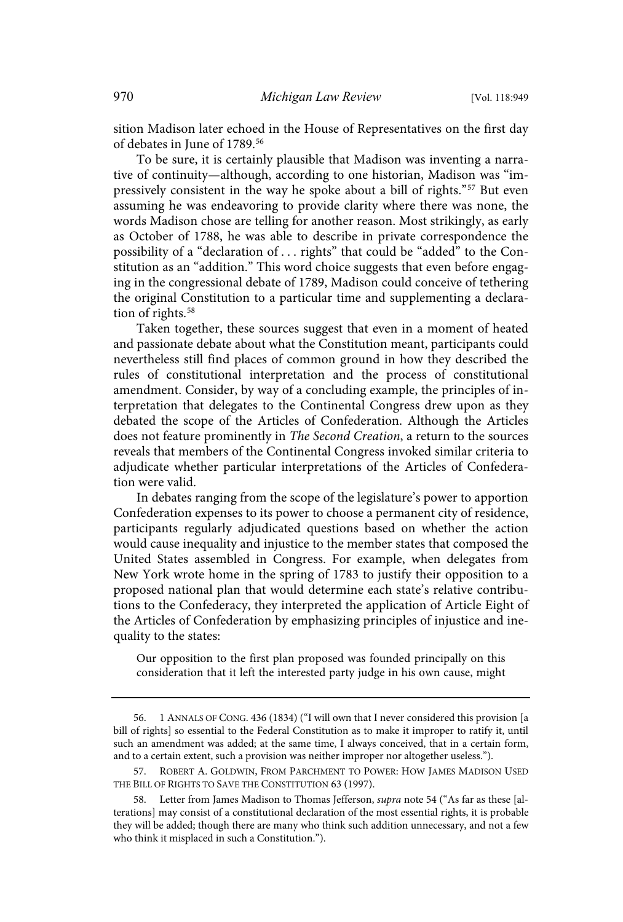sition Madison later echoed in the House of Representatives on the first day of debates in June of 1789.<sup>56</sup>

To be sure, it is certainly plausible that Madison was inventing a narrative of continuity—although, according to one historian, Madison was "impressively consistent in the way he spoke about a bill of rights."<sup>57</sup> But even assuming he was endeavoring to provide clarity where there was none, the words Madison chose are telling for another reason. Most strikingly, as early as October of 1788, he was able to describe in private correspondence the possibility of a "declaration of . . . rights" that could be "added" to the Constitution as an "addition." This word choice suggests that even before engaging in the congressional debate of 1789, Madison could conceive of tethering the original Constitution to a particular time and supplementing a declaration of rights. $58$ 

Taken together, these sources suggest that even in a moment of heated and passionate debate about what the Constitution meant, participants could nevertheless still find places of common ground in how they described the rules of constitutional interpretation and the process of constitutional amendment. Consider, by way of a concluding example, the principles of interpretation that delegates to the Continental Congress drew upon as they debated the scope of the Articles of Confederation. Although the Articles does not feature prominently in The Second Creation, a return to the sources reveals that members of the Continental Congress invoked similar criteria to adjudicate whether particular interpretations of the Articles of Confederation were valid.

In debates ranging from the scope of the legislature's power to apportion Confederation expenses to its power to choose a permanent city of residence, participants regularly adjudicated questions based on whether the action would cause inequality and injustice to the member states that composed the United States assembled in Congress. For example, when delegates from New York wrote home in the spring of 1783 to justify their opposition to a proposed national plan that would determine each state's relative contributions to the Confederacy, they interpreted the application of Article Eight of the Articles of Confederation by emphasizing principles of injustice and inequality to the states:

Our opposition to the first plan proposed was founded principally on this consideration that it left the interested party judge in his own cause, might

<sup>56.</sup> 1 ANNALS OF CONG. 436 (1834) ("I will own that I never considered this provision [a bill of rights] so essential to the Federal Constitution as to make it improper to ratify it, until such an amendment was added; at the same time, I always conceived, that in a certain form, and to a certain extent, such a provision was neither improper nor altogether useless.").

<sup>57.</sup> ROBERT A. GOLDWIN, FROM PARCHMENT TO POWER: HOW JAMES MADISON USED THE BILL OF RIGHTS TO SAVE THE CONSTITUTION 63 (1997).

<sup>58.</sup> Letter from James Madison to Thomas Jefferson, supra note 54 ("As far as these [alterations] may consist of a constitutional declaration of the most essential rights, it is probable they will be added; though there are many who think such addition unnecessary, and not a few who think it misplaced in such a Constitution.").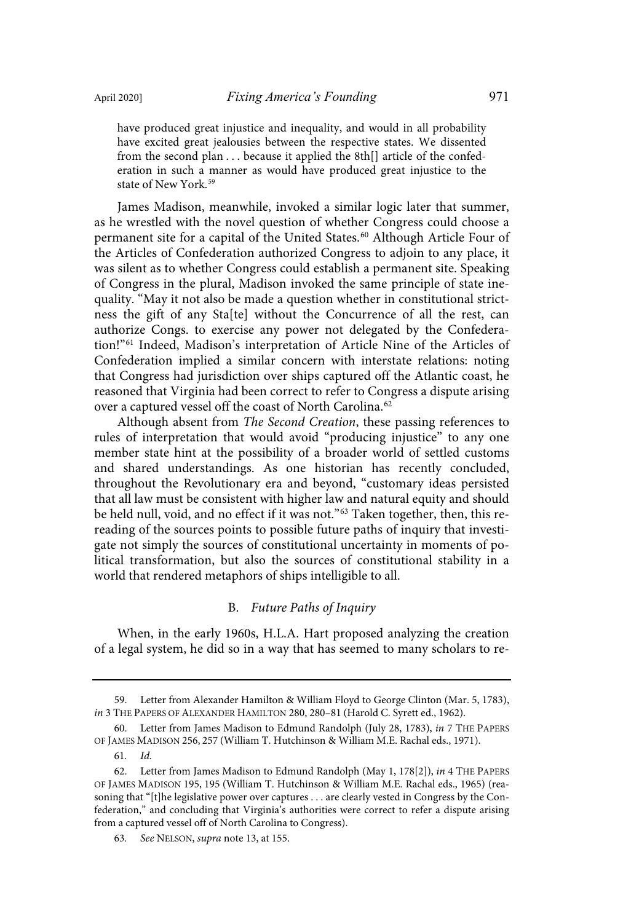have produced great injustice and inequality, and would in all probability have excited great jealousies between the respective states. We dissented from the second plan . . . because it applied the 8th[] article of the confederation in such a manner as would have produced great injustice to the state of New York. 59

James Madison, meanwhile, invoked a similar logic later that summer, as he wrestled with the novel question of whether Congress could choose a permanent site for a capital of the United States.<sup>60</sup> Although Article Four of the Articles of Confederation authorized Congress to adjoin to any place, it was silent as to whether Congress could establish a permanent site. Speaking of Congress in the plural, Madison invoked the same principle of state inequality. "May it not also be made a question whether in constitutional strictness the gift of any Sta[te] without the Concurrence of all the rest, can authorize Congs. to exercise any power not delegated by the Confederation!"<sup>61</sup> Indeed, Madison's interpretation of Article Nine of the Articles of Confederation implied a similar concern with interstate relations: noting that Congress had jurisdiction over ships captured off the Atlantic coast, he reasoned that Virginia had been correct to refer to Congress a dispute arising over a captured vessel off the coast of North Carolina. 62

Although absent from The Second Creation, these passing references to rules of interpretation that would avoid "producing injustice" to any one member state hint at the possibility of a broader world of settled customs and shared understandings. As one historian has recently concluded, throughout the Revolutionary era and beyond, "customary ideas persisted that all law must be consistent with higher law and natural equity and should be held null, void, and no effect if it was not."<sup>63</sup> Taken together, then, this rereading of the sources points to possible future paths of inquiry that investigate not simply the sources of constitutional uncertainty in moments of political transformation, but also the sources of constitutional stability in a world that rendered metaphors of ships intelligible to all.

## B. Future Paths of Inquiry

When, in the early 1960s, H.L.A. Hart proposed analyzing the creation of a legal system, he did so in a way that has seemed to many scholars to re-

<sup>59.</sup> Letter from Alexander Hamilton & William Floyd to George Clinton (Mar. 5, 1783), in 3 THE PAPERS OF ALEXANDER HAMILTON 280, 280–81 (Harold C. Syrett ed., 1962).

<sup>60.</sup> Letter from James Madison to Edmund Randolph (July 28, 1783), in 7 THE PAPERS OF JAMES MADISON 256, 257 (William T. Hutchinson & William M.E. Rachal eds., 1971).

<sup>61</sup>. Id.

<sup>62.</sup> Letter from James Madison to Edmund Randolph (May 1, 178[2]), in 4 THE PAPERS OF JAMES MADISON 195, 195 (William T. Hutchinson & William M.E. Rachal eds., 1965) (reasoning that "[t]he legislative power over captures . . . are clearly vested in Congress by the Confederation," and concluding that Virginia's authorities were correct to refer a dispute arising from a captured vessel off of North Carolina to Congress).

<sup>63</sup>. See NELSON, supra note 13, at 155.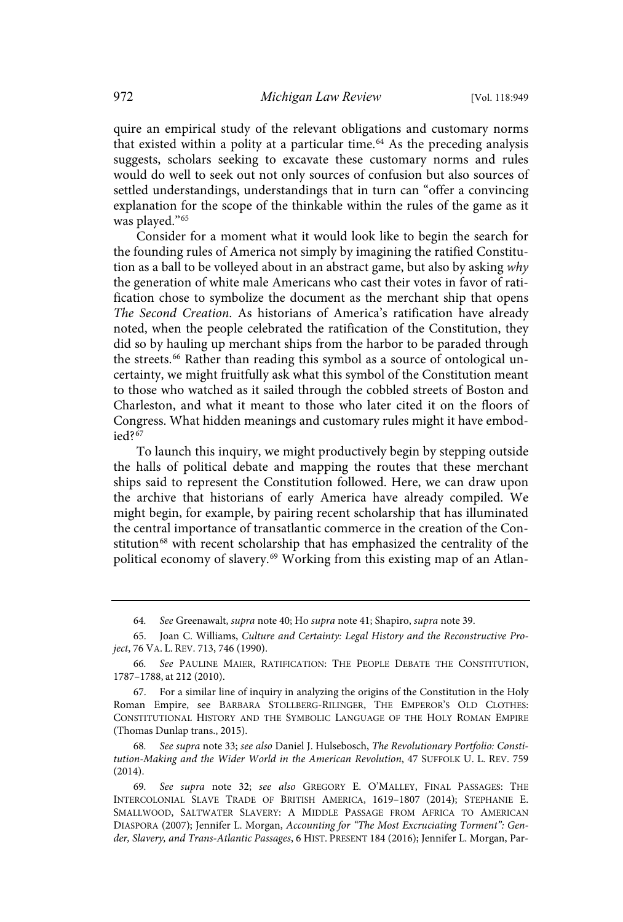quire an empirical study of the relevant obligations and customary norms that existed within a polity at a particular time.<sup>64</sup> As the preceding analysis suggests, scholars seeking to excavate these customary norms and rules would do well to seek out not only sources of confusion but also sources of settled understandings, understandings that in turn can "offer a convincing explanation for the scope of the thinkable within the rules of the game as it was played."<sup>65</sup>

Consider for a moment what it would look like to begin the search for the founding rules of America not simply by imagining the ratified Constitution as a ball to be volleyed about in an abstract game, but also by asking why the generation of white male Americans who cast their votes in favor of ratification chose to symbolize the document as the merchant ship that opens The Second Creation. As historians of America's ratification have already noted, when the people celebrated the ratification of the Constitution, they did so by hauling up merchant ships from the harbor to be paraded through the streets.<sup>66</sup> Rather than reading this symbol as a source of ontological uncertainty, we might fruitfully ask what this symbol of the Constitution meant to those who watched as it sailed through the cobbled streets of Boston and Charleston, and what it meant to those who later cited it on the floors of Congress. What hidden meanings and customary rules might it have embodied?<sup>67</sup>

To launch this inquiry, we might productively begin by stepping outside the halls of political debate and mapping the routes that these merchant ships said to represent the Constitution followed. Here, we can draw upon the archive that historians of early America have already compiled. We might begin, for example, by pairing recent scholarship that has illuminated the central importance of transatlantic commerce in the creation of the Constitution<sup>68</sup> with recent scholarship that has emphasized the centrality of the political economy of slavery. <sup>69</sup> Working from this existing map of an Atlan-

<sup>64</sup>. See Greenawalt, supra note 40; Ho supra note 41; Shapiro, supra note 39.

<sup>65.</sup> Joan C. Williams, Culture and Certainty: Legal History and the Reconstructive Project, 76 VA. L. REV. 713, 746 (1990).

<sup>66</sup>. See PAULINE MAIER, RATIFICATION: THE PEOPLE DEBATE THE CONSTITUTION, 1787–1788, at 212 (2010).

<sup>67.</sup> For a similar line of inquiry in analyzing the origins of the Constitution in the Holy Roman Empire, see BARBARA STOLLBERG-RILINGER, THE EMPEROR'S OLD CLOTHES: CONSTITUTIONAL HISTORY AND THE SYMBOLIC LANGUAGE OF THE HOLY ROMAN EMPIRE (Thomas Dunlap trans., 2015).

<sup>68</sup>. See supra note 33; see also Daniel J. Hulsebosch, The Revolutionary Portfolio: Constitution-Making and the Wider World in the American Revolution, 47 SUFFOLK U. L. REV. 759 (2014).

<sup>69</sup>. See supra note 32; see also GREGORY E. O'MALLEY, FINAL PASSAGES: THE INTERCOLONIAL SLAVE TRADE OF BRITISH AMERICA, 1619–1807 (2014); STEPHANIE E. SMALLWOOD, SALTWATER SLAVERY: A MIDDLE PASSAGE FROM AFRICA TO AMERICAN DIASPORA (2007); Jennifer L. Morgan, Accounting for "The Most Excruciating Torment": Gender, Slavery, and Trans-Atlantic Passages, 6 HIST. PRESENT 184 (2016); Jennifer L. Morgan, Par-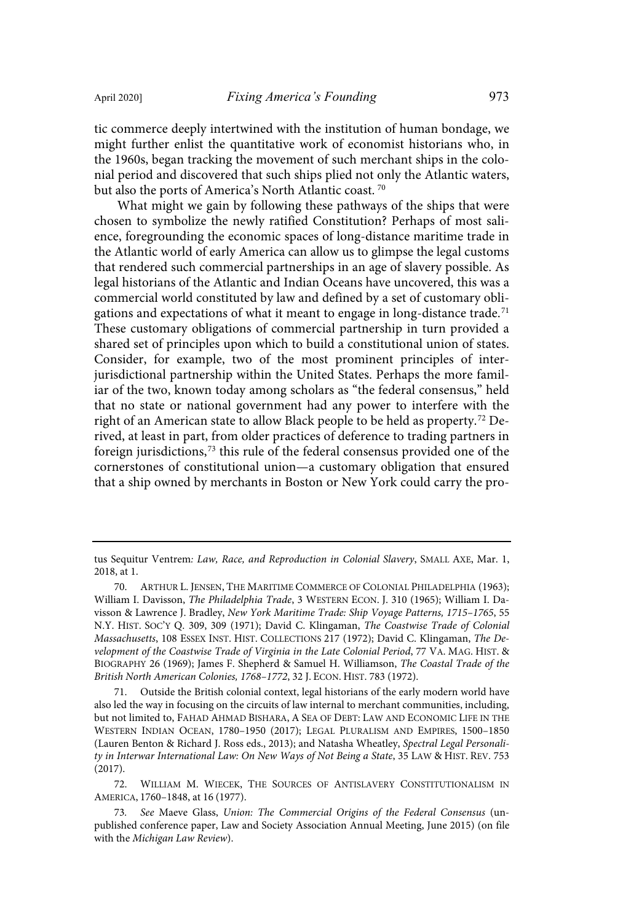tic commerce deeply intertwined with the institution of human bondage, we might further enlist the quantitative work of economist historians who, in the 1960s, began tracking the movement of such merchant ships in the colonial period and discovered that such ships plied not only the Atlantic waters, but also the ports of America's North Atlantic coast. 70

What might we gain by following these pathways of the ships that were chosen to symbolize the newly ratified Constitution? Perhaps of most salience, foregrounding the economic spaces of long-distance maritime trade in the Atlantic world of early America can allow us to glimpse the legal customs that rendered such commercial partnerships in an age of slavery possible. As legal historians of the Atlantic and Indian Oceans have uncovered, this was a commercial world constituted by law and defined by a set of customary obligations and expectations of what it meant to engage in long-distance trade.<sup>71</sup> These customary obligations of commercial partnership in turn provided a shared set of principles upon which to build a constitutional union of states. Consider, for example, two of the most prominent principles of interjurisdictional partnership within the United States. Perhaps the more familiar of the two, known today among scholars as "the federal consensus," held that no state or national government had any power to interfere with the right of an American state to allow Black people to be held as property. <sup>72</sup> Derived, at least in part, from older practices of deference to trading partners in foreign jurisdictions, <sup>73</sup> this rule of the federal consensus provided one of the cornerstones of constitutional union—a customary obligation that ensured that a ship owned by merchants in Boston or New York could carry the pro-

tus Sequitur Ventrem: Law, Race, and Reproduction in Colonial Slavery, SMALL AXE, Mar. 1, 2018, at 1.

<sup>70.</sup> ARTHUR L. JENSEN, THE MARITIME COMMERCE OF COLONIAL PHILADELPHIA (1963); William I. Davisson, The Philadelphia Trade, 3 WESTERN ECON. J. 310 (1965); William I. Davisson & Lawrence J. Bradley, New York Maritime Trade: Ship Voyage Patterns, 1715–1765, 55 N.Y. HIST. SOC'Y Q. 309, 309 (1971); David C. Klingaman, The Coastwise Trade of Colonial Massachusetts, 108 ESSEX INST. HIST. COLLECTIONS 217 (1972); David C. Klingaman, The Development of the Coastwise Trade of Virginia in the Late Colonial Period, 77 VA. MAG. HIST. & BIOGRAPHY 26 (1969); James F. Shepherd & Samuel H. Williamson, The Coastal Trade of the British North American Colonies, 1768–1772, 32 J. ECON. HIST. 783 (1972).

<sup>71.</sup> Outside the British colonial context, legal historians of the early modern world have also led the way in focusing on the circuits of law internal to merchant communities, including, but not limited to, FAHAD AHMAD BISHARA, A SEA OF DEBT: LAW AND ECONOMIC LIFE IN THE WESTERN INDIAN OCEAN, 1780–1950 (2017); LEGAL PLURALISM AND EMPIRES, 1500–1850 (Lauren Benton & Richard J. Ross eds., 2013); and Natasha Wheatley, Spectral Legal Personality in Interwar International Law: On New Ways of Not Being a State, 35 LAW & HIST. REV. 753 (2017).

<sup>72.</sup> WILLIAM M. WIECEK, THE SOURCES OF ANTISLAVERY CONSTITUTIONALISM IN AMERICA, 1760–1848, at 16 (1977).

<sup>73</sup>. See Maeve Glass, Union: The Commercial Origins of the Federal Consensus (unpublished conference paper, Law and Society Association Annual Meeting, June 2015) (on file with the Michigan Law Review).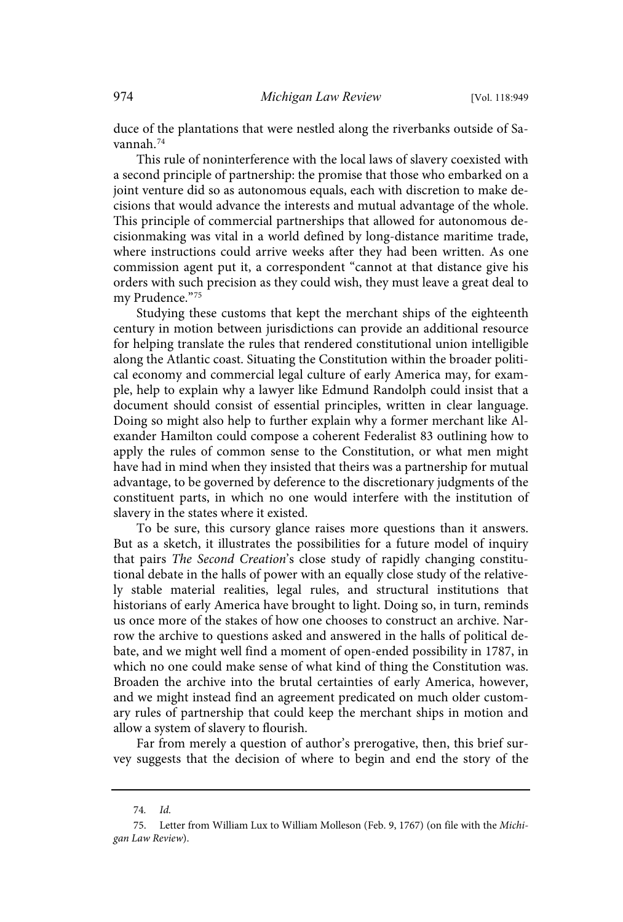duce of the plantations that were nestled along the riverbanks outside of Savannah.<sup>74</sup>

This rule of noninterference with the local laws of slavery coexisted with a second principle of partnership: the promise that those who embarked on a joint venture did so as autonomous equals, each with discretion to make decisions that would advance the interests and mutual advantage of the whole. This principle of commercial partnerships that allowed for autonomous decisionmaking was vital in a world defined by long-distance maritime trade, where instructions could arrive weeks after they had been written. As one commission agent put it, a correspondent "cannot at that distance give his orders with such precision as they could wish, they must leave a great deal to my Prudence."<sup>75</sup>

Studying these customs that kept the merchant ships of the eighteenth century in motion between jurisdictions can provide an additional resource for helping translate the rules that rendered constitutional union intelligible along the Atlantic coast. Situating the Constitution within the broader political economy and commercial legal culture of early America may, for example, help to explain why a lawyer like Edmund Randolph could insist that a document should consist of essential principles, written in clear language. Doing so might also help to further explain why a former merchant like Alexander Hamilton could compose a coherent Federalist 83 outlining how to apply the rules of common sense to the Constitution, or what men might have had in mind when they insisted that theirs was a partnership for mutual advantage, to be governed by deference to the discretionary judgments of the constituent parts, in which no one would interfere with the institution of slavery in the states where it existed.

To be sure, this cursory glance raises more questions than it answers. But as a sketch, it illustrates the possibilities for a future model of inquiry that pairs The Second Creation's close study of rapidly changing constitutional debate in the halls of power with an equally close study of the relatively stable material realities, legal rules, and structural institutions that historians of early America have brought to light. Doing so, in turn, reminds us once more of the stakes of how one chooses to construct an archive. Narrow the archive to questions asked and answered in the halls of political debate, and we might well find a moment of open-ended possibility in 1787, in which no one could make sense of what kind of thing the Constitution was. Broaden the archive into the brutal certainties of early America, however, and we might instead find an agreement predicated on much older customary rules of partnership that could keep the merchant ships in motion and allow a system of slavery to flourish.

Far from merely a question of author's prerogative, then, this brief survey suggests that the decision of where to begin and end the story of the

<sup>74</sup>. Id.

<sup>75.</sup> Letter from William Lux to William Molleson (Feb. 9, 1767) (on file with the Michigan Law Review).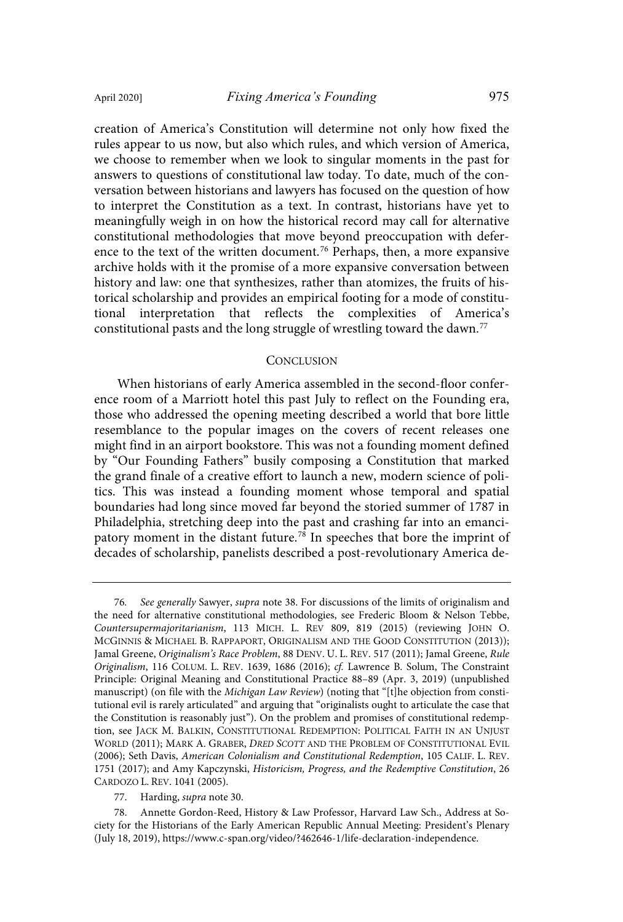creation of America's Constitution will determine not only how fixed the rules appear to us now, but also which rules, and which version of America, we choose to remember when we look to singular moments in the past for answers to questions of constitutional law today. To date, much of the conversation between historians and lawyers has focused on the question of how to interpret the Constitution as a text. In contrast, historians have yet to meaningfully weigh in on how the historical record may call for alternative constitutional methodologies that move beyond preoccupation with deference to the text of the written document.<sup>76</sup> Perhaps, then, a more expansive archive holds with it the promise of a more expansive conversation between history and law: one that synthesizes, rather than atomizes, the fruits of historical scholarship and provides an empirical footing for a mode of constitutional interpretation that reflects the complexities of America's constitutional pasts and the long struggle of wrestling toward the dawn. 77

#### **CONCLUSION**

When historians of early America assembled in the second-floor conference room of a Marriott hotel this past July to reflect on the Founding era, those who addressed the opening meeting described a world that bore little resemblance to the popular images on the covers of recent releases one might find in an airport bookstore. This was not a founding moment defined by "Our Founding Fathers" busily composing a Constitution that marked the grand finale of a creative effort to launch a new, modern science of politics. This was instead a founding moment whose temporal and spatial boundaries had long since moved far beyond the storied summer of 1787 in Philadelphia, stretching deep into the past and crashing far into an emancipatory moment in the distant future. <sup>78</sup> In speeches that bore the imprint of decades of scholarship, panelists described a post-revolutionary America de-

<sup>76</sup>. See generally Sawyer, supra note 38. For discussions of the limits of originalism and the need for alternative constitutional methodologies, see Frederic Bloom & Nelson Tebbe, Countersupermajoritarianism, 113 MICH. L. REV 809, 819 (2015) (reviewing JOHN O. MCGINNIS & MICHAEL B. RAPPAPORT, ORIGINALISM AND THE GOOD CONSTITUTION (2013)); Jamal Greene, Originalism's Race Problem, 88 DENV. U. L. REV. 517 (2011); Jamal Greene, Rule Originalism, 116 COLUM. L. REV. 1639, 1686 (2016); cf. Lawrence B. Solum, The Constraint Principle: Original Meaning and Constitutional Practice 88–89 (Apr. 3, 2019) (unpublished manuscript) (on file with the Michigan Law Review) (noting that "[t]he objection from constitutional evil is rarely articulated" and arguing that "originalists ought to articulate the case that the Constitution is reasonably just"). On the problem and promises of constitutional redemption, see JACK M. BALKIN, CONSTITUTIONAL REDEMPTION: POLITICAL FAITH IN AN UNJUST WORLD (2011); MARK A. GRABER, DRED SCOTT AND THE PROBLEM OF CONSTITUTIONAL EVIL (2006); Seth Davis, American Colonialism and Constitutional Redemption, 105 CALIF. L. REV. 1751 (2017); and Amy Kapczynski, Historicism, Progress, and the Redemptive Constitution, 26 CARDOZO L. REV. 1041 (2005).

<sup>77.</sup> Harding, supra note 30.

<sup>78.</sup> Annette Gordon-Reed, History & Law Professor, Harvard Law Sch., Address at Society for the Historians of the Early American Republic Annual Meeting: President's Plenary (July 18, 2019), https://www.c-span.org/video/?462646-1/life-declaration-independence.